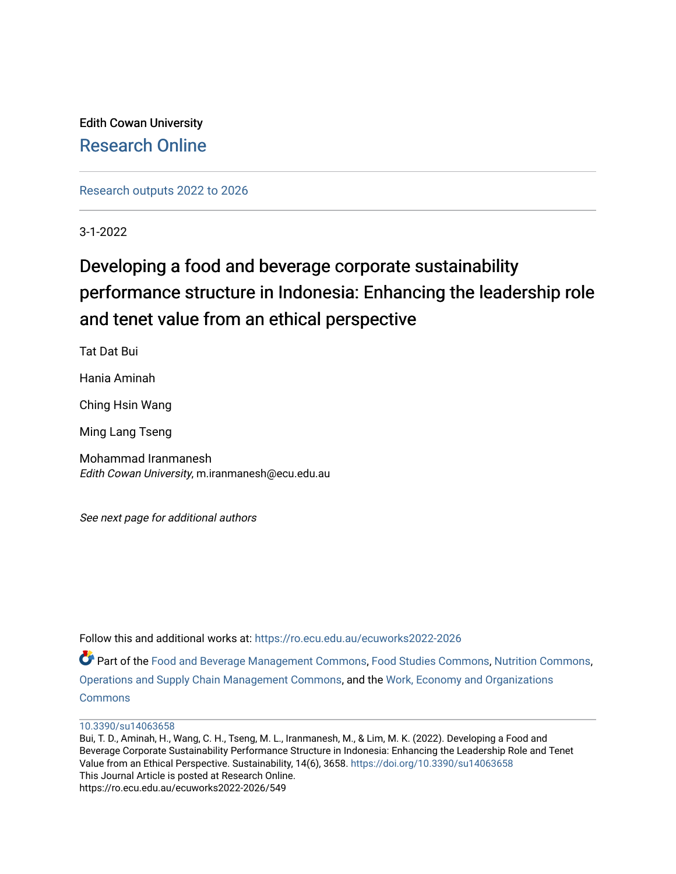Edith Cowan University [Research Online](https://ro.ecu.edu.au/) 

[Research outputs 2022 to 2026](https://ro.ecu.edu.au/ecuworks2022-2026) 

3-1-2022

# Developing a food and beverage corporate sustainability performance structure in Indonesia: Enhancing the leadership role and tenet value from an ethical perspective

Tat Dat Bui

Hania Aminah

Ching Hsin Wang

Ming Lang Tseng

Mohammad Iranmanesh Edith Cowan University, m.iranmanesh@ecu.edu.au

See next page for additional authors

Follow this and additional works at: [https://ro.ecu.edu.au/ecuworks2022-2026](https://ro.ecu.edu.au/ecuworks2022-2026?utm_source=ro.ecu.edu.au%2Fecuworks2022-2026%2F549&utm_medium=PDF&utm_campaign=PDFCoverPages)

Part of the [Food and Beverage Management Commons](https://network.bepress.com/hgg/discipline/1089?utm_source=ro.ecu.edu.au%2Fecuworks2022-2026%2F549&utm_medium=PDF&utm_campaign=PDFCoverPages), [Food Studies Commons](https://network.bepress.com/hgg/discipline/1386?utm_source=ro.ecu.edu.au%2Fecuworks2022-2026%2F549&utm_medium=PDF&utm_campaign=PDFCoverPages), [Nutrition Commons](https://network.bepress.com/hgg/discipline/95?utm_source=ro.ecu.edu.au%2Fecuworks2022-2026%2F549&utm_medium=PDF&utm_campaign=PDFCoverPages), [Operations and Supply Chain Management Commons,](https://network.bepress.com/hgg/discipline/1229?utm_source=ro.ecu.edu.au%2Fecuworks2022-2026%2F549&utm_medium=PDF&utm_campaign=PDFCoverPages) and the [Work, Economy and Organizations](https://network.bepress.com/hgg/discipline/433?utm_source=ro.ecu.edu.au%2Fecuworks2022-2026%2F549&utm_medium=PDF&utm_campaign=PDFCoverPages) [Commons](https://network.bepress.com/hgg/discipline/433?utm_source=ro.ecu.edu.au%2Fecuworks2022-2026%2F549&utm_medium=PDF&utm_campaign=PDFCoverPages)

Bui, T. D., Aminah, H., Wang, C. H., Tseng, M. L., Iranmanesh, M., & Lim, M. K. (2022). Developing a Food and Beverage Corporate Sustainability Performance Structure in Indonesia: Enhancing the Leadership Role and Tenet Value from an Ethical Perspective. Sustainability, 14(6), 3658. <https://doi.org/10.3390/su14063658> This Journal Article is posted at Research Online. https://ro.ecu.edu.au/ecuworks2022-2026/549

[<sup>10.3390/</sup>su14063658](http://dx.doi.org/10.3390/su14063658)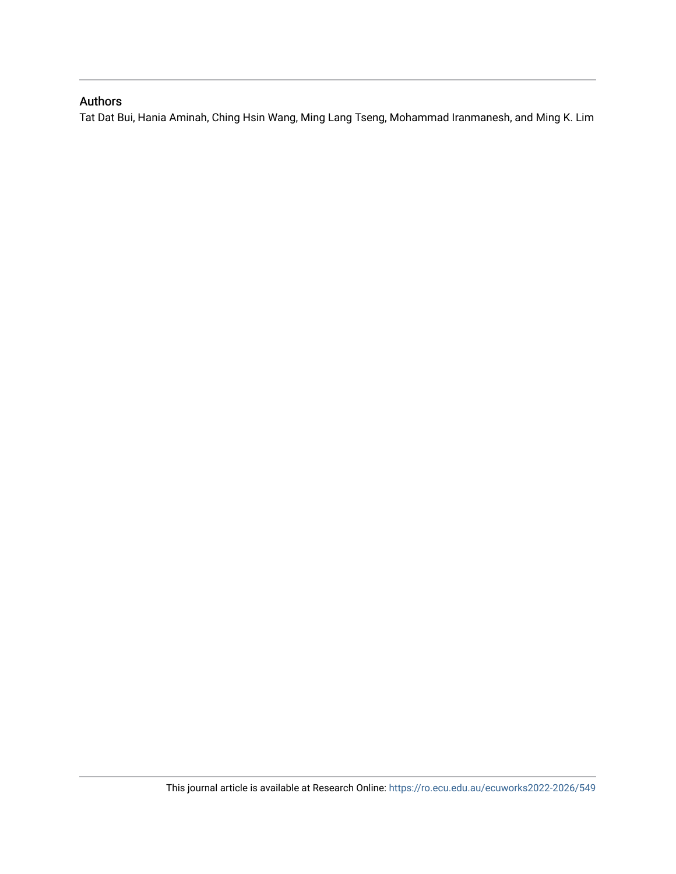## Authors

Tat Dat Bui, Hania Aminah, Ching Hsin Wang, Ming Lang Tseng, Mohammad Iranmanesh, and Ming K. Lim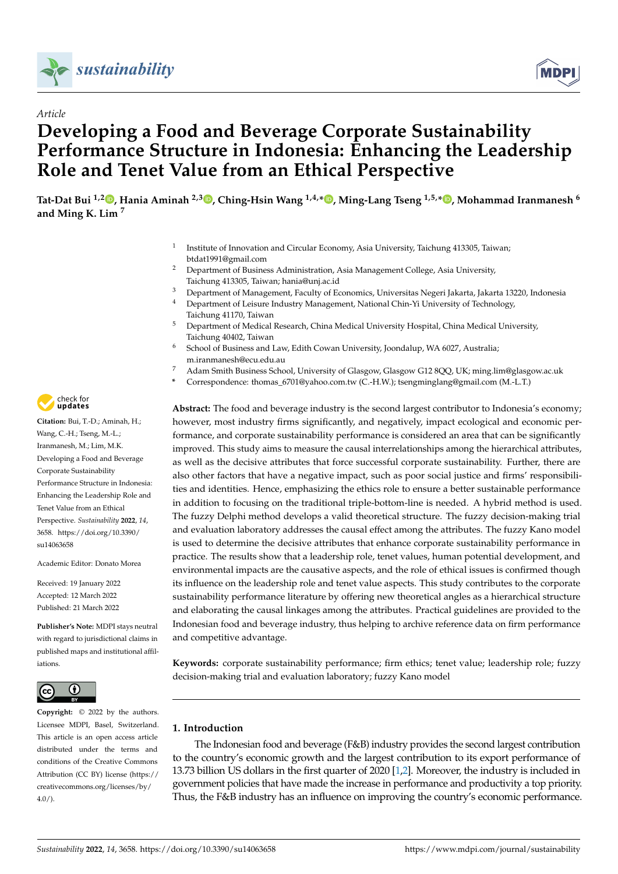



## *Article* **Developing a Food and Beverage Corporate Sustainability Performance Structure in Indonesia: Enhancing the Leadership Role and Tenet Value from an Ethical Perspective**

**Tat-Dat Bui 1,2 [,](https://orcid.org/0000-0001-9798-9772) Hania Aminah 2,3 [,](https://orcid.org/0000-0003-4843-6252) Ching-Hsin Wang 1,4,[\\*](https://orcid.org/0000-0001-5131-0357) , Ming-Lang Tseng 1,5,[\\*](https://orcid.org/0000-0002-2702-3590) , Mohammad Iranmanesh <sup>6</sup> and Ming K. Lim <sup>7</sup>**

- 1 Institute of Innovation and Circular Economy, Asia University, Taichung 413305, Taiwan; btdat1991@gmail.com
- <sup>2</sup> Department of Business Administration, Asia Management College, Asia University, Taichung 413305, Taiwan; hania@unj.ac.id
- <sup>3</sup> Department of Management, Faculty of Economics, Universitas Negeri Jakarta, Jakarta 13220, Indonesia<br><sup>4</sup> Department of Leisure Industry Management, National Chin Vi University of Technology
	- <sup>4</sup> Department of Leisure Industry Management, National Chin-Yi University of Technology, Taichung 41170, Taiwan
- <sup>5</sup> Department of Medical Research, China Medical University Hospital, China Medical University, Taichung 40402, Taiwan
- <sup>6</sup> School of Business and Law, Edith Cowan University, Joondalup, WA 6027, Australia; m.iranmanesh@ecu.edu.au
- <sup>7</sup> Adam Smith Business School, University of Glasgow, Glasgow G12 8QQ, UK; ming.lim@glasgow.ac.uk
- **\*** Correspondence: thomas\_6701@yahoo.com.tw (C.-H.W.); tsengminglang@gmail.com (M.-L.T.)

**Abstract:** The food and beverage industry is the second largest contributor to Indonesia's economy; however, most industry firms significantly, and negatively, impact ecological and economic performance, and corporate sustainability performance is considered an area that can be significantly improved. This study aims to measure the causal interrelationships among the hierarchical attributes, as well as the decisive attributes that force successful corporate sustainability. Further, there are also other factors that have a negative impact, such as poor social justice and firms' responsibilities and identities. Hence, emphasizing the ethics role to ensure a better sustainable performance in addition to focusing on the traditional triple-bottom-line is needed. A hybrid method is used. The fuzzy Delphi method develops a valid theoretical structure. The fuzzy decision-making trial and evaluation laboratory addresses the causal effect among the attributes. The fuzzy Kano model is used to determine the decisive attributes that enhance corporate sustainability performance in practice. The results show that a leadership role, tenet values, human potential development, and environmental impacts are the causative aspects, and the role of ethical issues is confirmed though its influence on the leadership role and tenet value aspects. This study contributes to the corporate sustainability performance literature by offering new theoretical angles as a hierarchical structure and elaborating the causal linkages among the attributes. Practical guidelines are provided to the Indonesian food and beverage industry, thus helping to archive reference data on firm performance and competitive advantage.

**Keywords:** corporate sustainability performance; firm ethics; tenet value; leadership role; fuzzy decision-making trial and evaluation laboratory; fuzzy Kano model

## **1. Introduction**

The Indonesian food and beverage (F&B) industry provides the second largest contribution to the country's economic growth and the largest contribution to its export performance of 13.73 billion US dollars in the first quarter of 2020 [\[1,](#page-23-0)[2\]](#page-23-1). Moreover, the industry is included in government policies that have made the increase in performance and productivity a top priority. Thus, the F&B industry has an influence on improving the country's economic performance.



**Citation:** Bui, T.-D.; Aminah, H.; Wang, C.-H.; Tseng, M.-L.; Iranmanesh, M.; Lim, M.K. Developing a Food and Beverage Corporate Sustainability Performance Structure in Indonesia: Enhancing the Leadership Role and Tenet Value from an Ethical Perspective. *Sustainability* **2022**, *14*, 3658. [https://doi.org/10.3390/](https://doi.org/10.3390/su14063658) [su14063658](https://doi.org/10.3390/su14063658)

Academic Editor: Donato Morea

Received: 19 January 2022 Accepted: 12 March 2022 Published: 21 March 2022

**Publisher's Note:** MDPI stays neutral with regard to jurisdictional claims in published maps and institutional affiliations.



**Copyright:** © 2022 by the authors. Licensee MDPI, Basel, Switzerland. This article is an open access article distributed under the terms and conditions of the Creative Commons Attribution (CC BY) license [\(https://](https://creativecommons.org/licenses/by/4.0/) [creativecommons.org/licenses/by/](https://creativecommons.org/licenses/by/4.0/)  $4.0/$ ).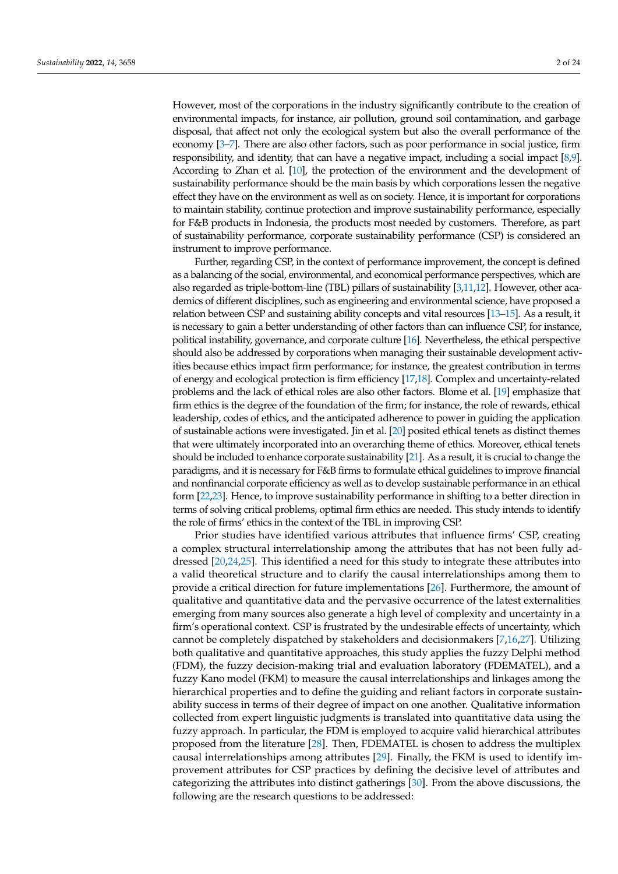However, most of the corporations in the industry significantly contribute to the creation of environmental impacts, for instance, air pollution, ground soil contamination, and garbage disposal, that affect not only the ecological system but also the overall performance of the economy [\[3](#page-23-2)[–7\]](#page-23-3). There are also other factors, such as poor performance in social justice, firm responsibility, and identity, that can have a negative impact, including a social impact [\[8](#page-23-4)[,9\]](#page-23-5). According to Zhan et al. [\[10\]](#page-23-6), the protection of the environment and the development of sustainability performance should be the main basis by which corporations lessen the negative effect they have on the environment as well as on society. Hence, it is important for corporations to maintain stability, continue protection and improve sustainability performance, especially for F&B products in Indonesia, the products most needed by customers. Therefore, as part of sustainability performance, corporate sustainability performance (CSP) is considered an instrument to improve performance.

Further, regarding CSP, in the context of performance improvement, the concept is defined as a balancing of the social, environmental, and economical performance perspectives, which are also regarded as triple-bottom-line (TBL) pillars of sustainability [\[3,](#page-23-2)[11,](#page-23-7)[12\]](#page-23-8). However, other academics of different disciplines, such as engineering and environmental science, have proposed a relation between CSP and sustaining ability concepts and vital resources [\[13–](#page-23-9)[15\]](#page-23-10). As a result, it is necessary to gain a better understanding of other factors than can influence CSP, for instance, political instability, governance, and corporate culture [\[16\]](#page-23-11). Nevertheless, the ethical perspective should also be addressed by corporations when managing their sustainable development activities because ethics impact firm performance; for instance, the greatest contribution in terms of energy and ecological protection is firm efficiency [\[17,](#page-23-12)[18\]](#page-23-13). Complex and uncertainty-related problems and the lack of ethical roles are also other factors. Blome et al. [\[19\]](#page-23-14) emphasize that firm ethics is the degree of the foundation of the firm; for instance, the role of rewards, ethical leadership, codes of ethics, and the anticipated adherence to power in guiding the application of sustainable actions were investigated. Jin et al. [\[20\]](#page-23-15) posited ethical tenets as distinct themes that were ultimately incorporated into an overarching theme of ethics. Moreover, ethical tenets should be included to enhance corporate sustainability [\[21\]](#page-23-16). As a result, it is crucial to change the paradigms, and it is necessary for F&B firms to formulate ethical guidelines to improve financial and nonfinancial corporate efficiency as well as to develop sustainable performance in an ethical form [\[22](#page-23-17)[,23\]](#page-23-18). Hence, to improve sustainability performance in shifting to a better direction in terms of solving critical problems, optimal firm ethics are needed. This study intends to identify the role of firms' ethics in the context of the TBL in improving CSP.

Prior studies have identified various attributes that influence firms' CSP, creating a complex structural interrelationship among the attributes that has not been fully addressed [\[20,](#page-23-15)[24,](#page-23-19)[25\]](#page-24-0). This identified a need for this study to integrate these attributes into a valid theoretical structure and to clarify the causal interrelationships among them to provide a critical direction for future implementations [\[26\]](#page-24-1). Furthermore, the amount of qualitative and quantitative data and the pervasive occurrence of the latest externalities emerging from many sources also generate a high level of complexity and uncertainty in a firm's operational context. CSP is frustrated by the undesirable effects of uncertainty, which cannot be completely dispatched by stakeholders and decisionmakers [\[7](#page-23-3)[,16,](#page-23-11)[27\]](#page-24-2). Utilizing both qualitative and quantitative approaches, this study applies the fuzzy Delphi method (FDM), the fuzzy decision-making trial and evaluation laboratory (FDEMATEL), and a fuzzy Kano model (FKM) to measure the causal interrelationships and linkages among the hierarchical properties and to define the guiding and reliant factors in corporate sustainability success in terms of their degree of impact on one another. Qualitative information collected from expert linguistic judgments is translated into quantitative data using the fuzzy approach. In particular, the FDM is employed to acquire valid hierarchical attributes proposed from the literature [\[28\]](#page-24-3). Then, FDEMATEL is chosen to address the multiplex causal interrelationships among attributes [\[29\]](#page-24-4). Finally, the FKM is used to identify improvement attributes for CSP practices by defining the decisive level of attributes and categorizing the attributes into distinct gatherings [\[30\]](#page-24-5). From the above discussions, the following are the research questions to be addressed: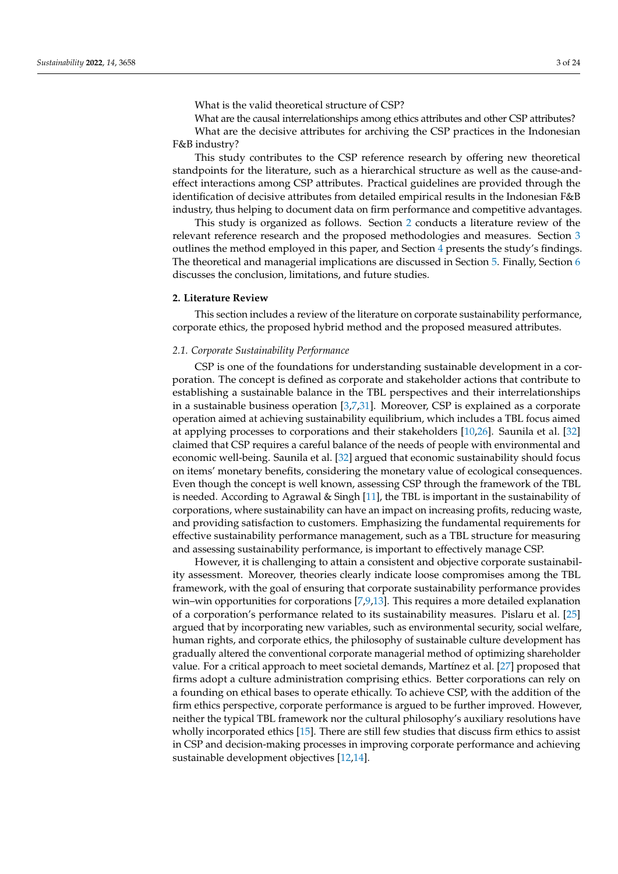What is the valid theoretical structure of CSP?

What are the causal interrelationships among ethics attributes and other CSP attributes? What are the decisive attributes for archiving the CSP practices in the Indonesian F&B industry?

This study contributes to the CSP reference research by offering new theoretical standpoints for the literature, such as a hierarchical structure as well as the cause-andeffect interactions among CSP attributes. Practical guidelines are provided through the identification of decisive attributes from detailed empirical results in the Indonesian F&B industry, thus helping to document data on firm performance and competitive advantages.

This study is organized as follows. Section [2](#page-4-0) conducts a literature review of the relevant reference research and the proposed methodologies and measures. Section [3](#page-9-0) outlines the method employed in this paper, and Section [4](#page-15-0) presents the study's findings. The theoretical and managerial implications are discussed in Section [5.](#page-18-0) Finally, Section [6](#page-21-0) discusses the conclusion, limitations, and future studies.

## <span id="page-4-0"></span>**2. Literature Review**

This section includes a review of the literature on corporate sustainability performance, corporate ethics, the proposed hybrid method and the proposed measured attributes.

## *2.1. Corporate Sustainability Performance*

CSP is one of the foundations for understanding sustainable development in a corporation. The concept is defined as corporate and stakeholder actions that contribute to establishing a sustainable balance in the TBL perspectives and their interrelationships in a sustainable business operation  $[3,7,31]$  $[3,7,31]$  $[3,7,31]$ . Moreover, CSP is explained as a corporate operation aimed at achieving sustainability equilibrium, which includes a TBL focus aimed at applying processes to corporations and their stakeholders [\[10](#page-23-6)[,26\]](#page-24-1). Saunila et al. [\[32\]](#page-24-7) claimed that CSP requires a careful balance of the needs of people with environmental and economic well-being. Saunila et al. [\[32\]](#page-24-7) argued that economic sustainability should focus on items' monetary benefits, considering the monetary value of ecological consequences. Even though the concept is well known, assessing CSP through the framework of the TBL is needed. According to Agrawal & Singh [\[11\]](#page-23-7), the TBL is important in the sustainability of corporations, where sustainability can have an impact on increasing profits, reducing waste, and providing satisfaction to customers. Emphasizing the fundamental requirements for effective sustainability performance management, such as a TBL structure for measuring and assessing sustainability performance, is important to effectively manage CSP.

However, it is challenging to attain a consistent and objective corporate sustainability assessment. Moreover, theories clearly indicate loose compromises among the TBL framework, with the goal of ensuring that corporate sustainability performance provides win–win opportunities for corporations [\[7,](#page-23-3)[9,](#page-23-5)[13\]](#page-23-9). This requires a more detailed explanation of a corporation's performance related to its sustainability measures. Pislaru et al. [\[25\]](#page-24-0) argued that by incorporating new variables, such as environmental security, social welfare, human rights, and corporate ethics, the philosophy of sustainable culture development has gradually altered the conventional corporate managerial method of optimizing shareholder value. For a critical approach to meet societal demands, Martínez et al. [\[27\]](#page-24-2) proposed that firms adopt a culture administration comprising ethics. Better corporations can rely on a founding on ethical bases to operate ethically. To achieve CSP, with the addition of the firm ethics perspective, corporate performance is argued to be further improved. However, neither the typical TBL framework nor the cultural philosophy's auxiliary resolutions have wholly incorporated ethics [\[15\]](#page-23-10). There are still few studies that discuss firm ethics to assist in CSP and decision-making processes in improving corporate performance and achieving sustainable development objectives [\[12,](#page-23-8)[14\]](#page-23-20).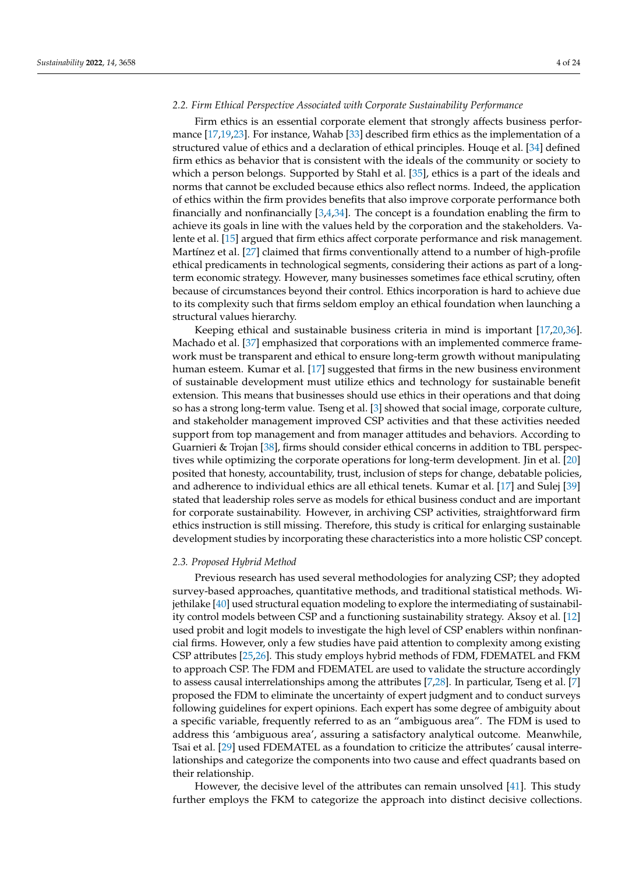## *2.2. Firm Ethical Perspective Associated with Corporate Sustainability Performance*

Firm ethics is an essential corporate element that strongly affects business performance [\[17,](#page-23-12)[19,](#page-23-14)[23\]](#page-23-18). For instance, Wahab [\[33\]](#page-24-8) described firm ethics as the implementation of a structured value of ethics and a declaration of ethical principles. Houqe et al. [\[34\]](#page-24-9) defined firm ethics as behavior that is consistent with the ideals of the community or society to which a person belongs. Supported by Stahl et al. [\[35\]](#page-24-10), ethics is a part of the ideals and norms that cannot be excluded because ethics also reflect norms. Indeed, the application of ethics within the firm provides benefits that also improve corporate performance both financially and nonfinancially [\[3,](#page-23-2)[4,](#page-23-21)[34\]](#page-24-9). The concept is a foundation enabling the firm to achieve its goals in line with the values held by the corporation and the stakeholders. Valente et al. [\[15\]](#page-23-10) argued that firm ethics affect corporate performance and risk management. Martínez et al. [\[27\]](#page-24-2) claimed that firms conventionally attend to a number of high-profile ethical predicaments in technological segments, considering their actions as part of a longterm economic strategy. However, many businesses sometimes face ethical scrutiny, often because of circumstances beyond their control. Ethics incorporation is hard to achieve due to its complexity such that firms seldom employ an ethical foundation when launching a structural values hierarchy.

Keeping ethical and sustainable business criteria in mind is important [\[17,](#page-23-12)[20,](#page-23-15)[36\]](#page-24-11). Machado et al. [\[37\]](#page-24-12) emphasized that corporations with an implemented commerce framework must be transparent and ethical to ensure long-term growth without manipulating human esteem. Kumar et al. [\[17\]](#page-23-12) suggested that firms in the new business environment of sustainable development must utilize ethics and technology for sustainable benefit extension. This means that businesses should use ethics in their operations and that doing so has a strong long-term value. Tseng et al. [\[3\]](#page-23-2) showed that social image, corporate culture, and stakeholder management improved CSP activities and that these activities needed support from top management and from manager attitudes and behaviors. According to Guarnieri & Trojan [\[38\]](#page-24-13), firms should consider ethical concerns in addition to TBL perspectives while optimizing the corporate operations for long-term development. Jin et al. [\[20\]](#page-23-15) posited that honesty, accountability, trust, inclusion of steps for change, debatable policies, and adherence to individual ethics are all ethical tenets. Kumar et al. [\[17\]](#page-23-12) and Sulej [\[39\]](#page-24-14) stated that leadership roles serve as models for ethical business conduct and are important for corporate sustainability. However, in archiving CSP activities, straightforward firm ethics instruction is still missing. Therefore, this study is critical for enlarging sustainable development studies by incorporating these characteristics into a more holistic CSP concept.

## *2.3. Proposed Hybrid Method*

Previous research has used several methodologies for analyzing CSP; they adopted survey-based approaches, quantitative methods, and traditional statistical methods. Wijethilake [\[40\]](#page-24-15) used structural equation modeling to explore the intermediating of sustainability control models between CSP and a functioning sustainability strategy. Aksoy et al. [\[12\]](#page-23-8) used probit and logit models to investigate the high level of CSP enablers within nonfinancial firms. However, only a few studies have paid attention to complexity among existing CSP attributes [\[25](#page-24-0)[,26\]](#page-24-1). This study employs hybrid methods of FDM, FDEMATEL and FKM to approach CSP. The FDM and FDEMATEL are used to validate the structure accordingly to assess causal interrelationships among the attributes [\[7](#page-23-3)[,28\]](#page-24-3). In particular, Tseng et al. [\[7\]](#page-23-3) proposed the FDM to eliminate the uncertainty of expert judgment and to conduct surveys following guidelines for expert opinions. Each expert has some degree of ambiguity about a specific variable, frequently referred to as an "ambiguous area". The FDM is used to address this 'ambiguous area', assuring a satisfactory analytical outcome. Meanwhile, Tsai et al. [\[29\]](#page-24-4) used FDEMATEL as a foundation to criticize the attributes' causal interrelationships and categorize the components into two cause and effect quadrants based on their relationship.

However, the decisive level of the attributes can remain unsolved [\[41\]](#page-24-16). This study further employs the FKM to categorize the approach into distinct decisive collections.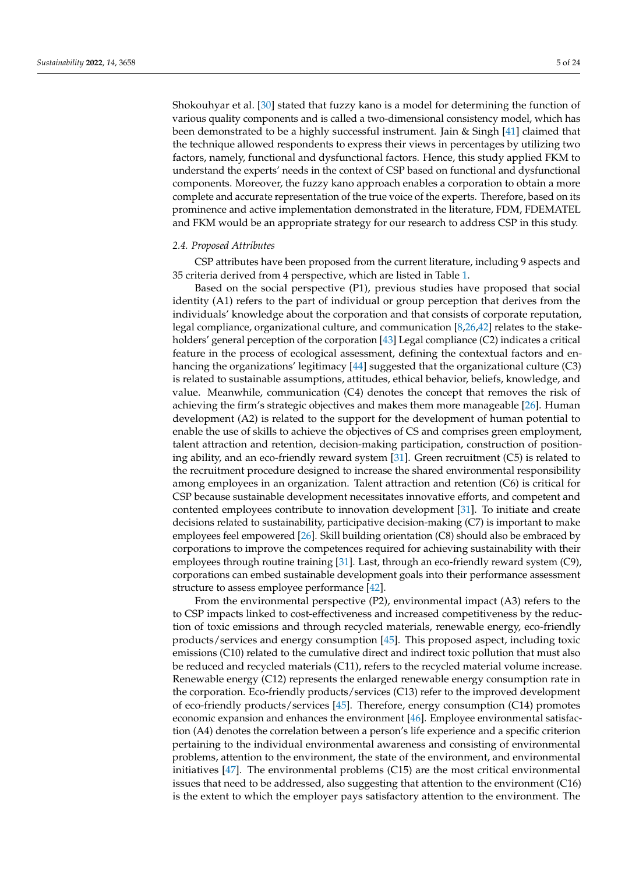Shokouhyar et al. [\[30\]](#page-24-5) stated that fuzzy kano is a model for determining the function of various quality components and is called a two-dimensional consistency model, which has been demonstrated to be a highly successful instrument. Jain & Singh [\[41\]](#page-24-16) claimed that the technique allowed respondents to express their views in percentages by utilizing two factors, namely, functional and dysfunctional factors. Hence, this study applied FKM to understand the experts' needs in the context of CSP based on functional and dysfunctional components. Moreover, the fuzzy kano approach enables a corporation to obtain a more complete and accurate representation of the true voice of the experts. Therefore, based on its prominence and active implementation demonstrated in the literature, FDM, FDEMATEL and FKM would be an appropriate strategy for our research to address CSP in this study.

## *2.4. Proposed Attributes*

CSP attributes have been proposed from the current literature, including 9 aspects and 35 criteria derived from 4 perspective, which are listed in Table [1.](#page-9-1)

Based on the social perspective (P1), previous studies have proposed that social identity (A1) refers to the part of individual or group perception that derives from the individuals' knowledge about the corporation and that consists of corporate reputation, legal compliance, organizational culture, and communication [\[8](#page-23-4)[,26](#page-24-1)[,42\]](#page-24-17) relates to the stakeholders' general perception of the corporation [\[43\]](#page-24-18) Legal compliance (C2) indicates a critical feature in the process of ecological assessment, defining the contextual factors and enhancing the organizations' legitimacy [\[44\]](#page-24-19) suggested that the organizational culture (C3) is related to sustainable assumptions, attitudes, ethical behavior, beliefs, knowledge, and value. Meanwhile, communication (C4) denotes the concept that removes the risk of achieving the firm's strategic objectives and makes them more manageable [\[26\]](#page-24-1). Human development (A2) is related to the support for the development of human potential to enable the use of skills to achieve the objectives of CS and comprises green employment, talent attraction and retention, decision-making participation, construction of positioning ability, and an eco-friendly reward system [\[31\]](#page-24-6). Green recruitment (C5) is related to the recruitment procedure designed to increase the shared environmental responsibility among employees in an organization. Talent attraction and retention (C6) is critical for CSP because sustainable development necessitates innovative efforts, and competent and contented employees contribute to innovation development [\[31\]](#page-24-6). To initiate and create decisions related to sustainability, participative decision-making (C7) is important to make employees feel empowered [\[26\]](#page-24-1). Skill building orientation (C8) should also be embraced by corporations to improve the competences required for achieving sustainability with their employees through routine training [\[31\]](#page-24-6). Last, through an eco-friendly reward system (C9), corporations can embed sustainable development goals into their performance assessment structure to assess employee performance [\[42\]](#page-24-17).

From the environmental perspective (P2), environmental impact (A3) refers to the to CSP impacts linked to cost-effectiveness and increased competitiveness by the reduction of toxic emissions and through recycled materials, renewable energy, eco-friendly products/services and energy consumption [\[45\]](#page-24-20). This proposed aspect, including toxic emissions (C10) related to the cumulative direct and indirect toxic pollution that must also be reduced and recycled materials (C11), refers to the recycled material volume increase. Renewable energy (C12) represents the enlarged renewable energy consumption rate in the corporation. Eco-friendly products/services (C13) refer to the improved development of eco-friendly products/services [\[45\]](#page-24-20). Therefore, energy consumption (C14) promotes economic expansion and enhances the environment [\[46\]](#page-24-21). Employee environmental satisfaction (A4) denotes the correlation between a person's life experience and a specific criterion pertaining to the individual environmental awareness and consisting of environmental problems, attention to the environment, the state of the environment, and environmental initiatives [\[47\]](#page-24-22). The environmental problems (C15) are the most critical environmental issues that need to be addressed, also suggesting that attention to the environment (C16) is the extent to which the employer pays satisfactory attention to the environment. The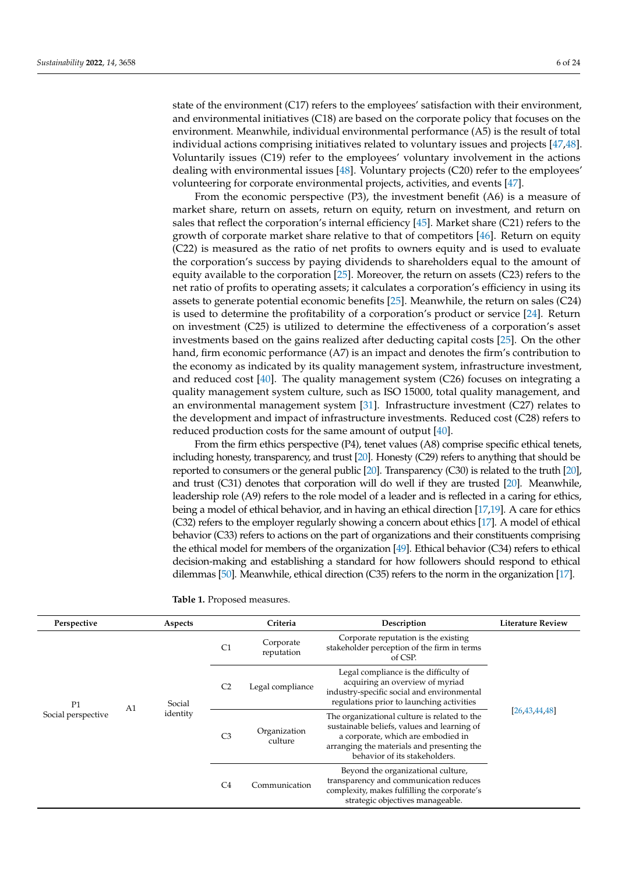state of the environment (C17) refers to the employees' satisfaction with their environment, and environmental initiatives (C18) are based on the corporate policy that focuses on the environment. Meanwhile, individual environmental performance (A5) is the result of total individual actions comprising initiatives related to voluntary issues and projects [\[47,](#page-24-22)[48\]](#page-24-23). Voluntarily issues (C19) refer to the employees' voluntary involvement in the actions dealing with environmental issues [\[48\]](#page-24-23). Voluntary projects (C20) refer to the employees' volunteering for corporate environmental projects, activities, and events [\[47\]](#page-24-22).

From the economic perspective (P3), the investment benefit (A6) is a measure of market share, return on assets, return on equity, return on investment, and return on sales that reflect the corporation's internal efficiency [\[45\]](#page-24-20). Market share (C21) refers to the growth of corporate market share relative to that of competitors [\[46\]](#page-24-21). Return on equity (C22) is measured as the ratio of net profits to owners equity and is used to evaluate the corporation's success by paying dividends to shareholders equal to the amount of equity available to the corporation [\[25\]](#page-24-0). Moreover, the return on assets (C23) refers to the net ratio of profits to operating assets; it calculates a corporation's efficiency in using its assets to generate potential economic benefits [\[25\]](#page-24-0). Meanwhile, the return on sales (C24) is used to determine the profitability of a corporation's product or service [\[24\]](#page-23-19). Return on investment (C25) is utilized to determine the effectiveness of a corporation's asset investments based on the gains realized after deducting capital costs [\[25\]](#page-24-0). On the other hand, firm economic performance (A7) is an impact and denotes the firm's contribution to the economy as indicated by its quality management system, infrastructure investment, and reduced cost [\[40\]](#page-24-15). The quality management system (C26) focuses on integrating a quality management system culture, such as ISO 15000, total quality management, and an environmental management system [\[31\]](#page-24-6). Infrastructure investment (C27) relates to the development and impact of infrastructure investments. Reduced cost (C28) refers to reduced production costs for the same amount of output [\[40\]](#page-24-15).

From the firm ethics perspective (P4), tenet values (A8) comprise specific ethical tenets, including honesty, transparency, and trust [\[20\]](#page-23-15). Honesty (C29) refers to anything that should be reported to consumers or the general public [\[20\]](#page-23-15). Transparency (C30) is related to the truth [\[20\]](#page-23-15), and trust (C31) denotes that corporation will do well if they are trusted [\[20\]](#page-23-15). Meanwhile, leadership role (A9) refers to the role model of a leader and is reflected in a caring for ethics, being a model of ethical behavior, and in having an ethical direction [\[17,](#page-23-12)[19\]](#page-23-14). A care for ethics (C32) refers to the employer regularly showing a concern about ethics [\[17\]](#page-23-12). A model of ethical behavior (C33) refers to actions on the part of organizations and their constituents comprising the ethical model for members of the organization [\[49\]](#page-24-24). Ethical behavior (C34) refers to ethical decision-making and establishing a standard for how followers should respond to ethical dilemmas [\[50\]](#page-24-25). Meanwhile, ethical direction (C35) refers to the norm in the organization [\[17\]](#page-23-12).

| <b>Table 1.</b> Proposed measures. |  |
|------------------------------------|--|
|------------------------------------|--|

| Perspective              |  | Aspects                              |                | Criteria                | Description                                                                                                                                                                                                      | <b>Literature Review</b> |
|--------------------------|--|--------------------------------------|----------------|-------------------------|------------------------------------------------------------------------------------------------------------------------------------------------------------------------------------------------------------------|--------------------------|
| P1<br>Social perspective |  |                                      | C <sub>1</sub> | Corporate<br>reputation | Corporate reputation is the existing<br>stakeholder perception of the firm in terms<br>of CSP.                                                                                                                   |                          |
|                          |  | Social<br>A <sub>1</sub><br>identity | C <sub>2</sub> | Legal compliance        | Legal compliance is the difficulty of<br>acquiring an overview of myriad<br>industry-specific social and environmental<br>regulations prior to launching activities                                              |                          |
|                          |  |                                      | C <sub>3</sub> | Organization<br>culture | The organizational culture is related to the<br>sustainable beliefs, values and learning of<br>a corporate, which are embodied in<br>arranging the materials and presenting the<br>behavior of its stakeholders. | [26, 43, 44, 48]         |
|                          |  |                                      | C <sub>4</sub> | Communication           | Beyond the organizational culture,<br>transparency and communication reduces<br>complexity, makes fulfilling the corporate's<br>strategic objectives manageable.                                                 |                          |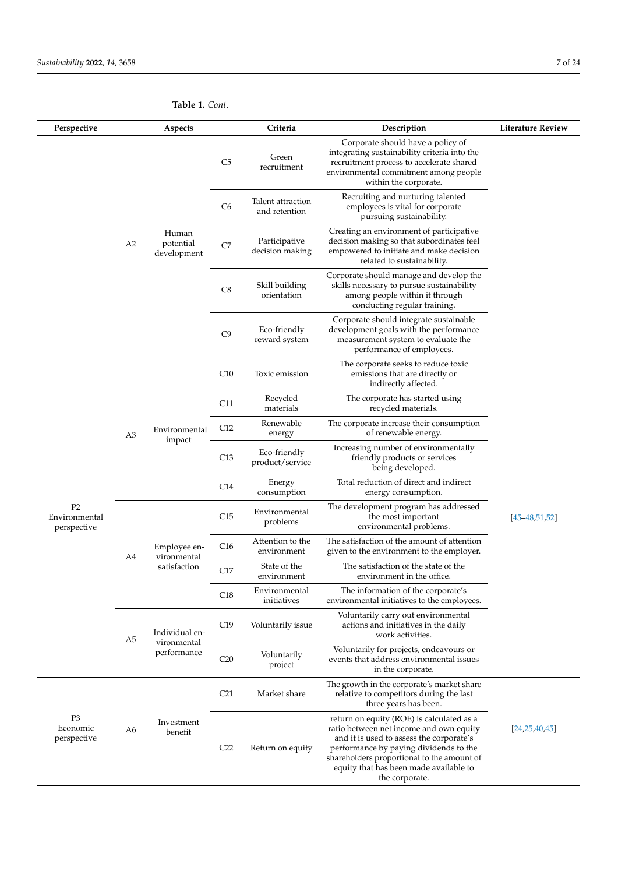**Table 1.** *Cont.*

| Perspective                                    |                | Aspects                                     |                 | Criteria                           | Description                                                                                                                                                                                     | <b>Literature Review</b>                                                                                                                                                                                                                                                             |                  |
|------------------------------------------------|----------------|---------------------------------------------|-----------------|------------------------------------|-------------------------------------------------------------------------------------------------------------------------------------------------------------------------------------------------|--------------------------------------------------------------------------------------------------------------------------------------------------------------------------------------------------------------------------------------------------------------------------------------|------------------|
|                                                |                |                                             | C5              | Green<br>recruitment               | Corporate should have a policy of<br>integrating sustainability criteria into the<br>recruitment process to accelerate shared<br>environmental commitment among people<br>within the corporate. |                                                                                                                                                                                                                                                                                      |                  |
|                                                |                |                                             | C6              | Talent attraction<br>and retention | Recruiting and nurturing talented<br>employees is vital for corporate<br>pursuing sustainability.                                                                                               |                                                                                                                                                                                                                                                                                      |                  |
|                                                | A <sub>2</sub> | Human<br>potential<br>development           | C7              | Participative<br>decision making   | Creating an environment of participative<br>decision making so that subordinates feel<br>empowered to initiate and make decision<br>related to sustainability.                                  |                                                                                                                                                                                                                                                                                      |                  |
|                                                |                |                                             | C8              | Skill building<br>orientation      | Corporate should manage and develop the<br>skills necessary to pursue sustainability<br>among people within it through<br>conducting regular training.                                          |                                                                                                                                                                                                                                                                                      |                  |
|                                                |                |                                             | C9              | Eco-friendly<br>reward system      | Corporate should integrate sustainable<br>development goals with the performance<br>measurement system to evaluate the<br>performance of employees.                                             |                                                                                                                                                                                                                                                                                      |                  |
|                                                | A3             |                                             |                 | C10                                | Toxic emission                                                                                                                                                                                  | The corporate seeks to reduce toxic<br>emissions that are directly or<br>indirectly affected.                                                                                                                                                                                        |                  |
|                                                |                | Environmental<br>impact                     | C11             | Recycled<br>materials              | The corporate has started using<br>recycled materials.                                                                                                                                          |                                                                                                                                                                                                                                                                                      |                  |
|                                                |                |                                             | C12             | Renewable<br>energy                | The corporate increase their consumption<br>of renewable energy.                                                                                                                                |                                                                                                                                                                                                                                                                                      |                  |
|                                                |                |                                             | C13             | Eco-friendly<br>product/service    | Increasing number of environmentally<br>friendly products or services<br>being developed.                                                                                                       |                                                                                                                                                                                                                                                                                      |                  |
|                                                |                |                                             | C14             | Energy<br>consumption              | Total reduction of direct and indirect<br>energy consumption.                                                                                                                                   |                                                                                                                                                                                                                                                                                      |                  |
| P <sub>2</sub><br>Environmental<br>perspective | A4             |                                             | C15             | Environmental<br>problems          | The development program has addressed<br>the most important<br>environmental problems.                                                                                                          | $[45 - 48, 51, 52]$                                                                                                                                                                                                                                                                  |                  |
|                                                |                | Employee en-<br>vironmental<br>satisfaction | C16             | Attention to the<br>environment    | The satisfaction of the amount of attention<br>given to the environment to the employer.                                                                                                        |                                                                                                                                                                                                                                                                                      |                  |
|                                                |                |                                             | C17             | State of the<br>environment        | The satisfaction of the state of the<br>environment in the office.                                                                                                                              |                                                                                                                                                                                                                                                                                      |                  |
|                                                |                |                                             | C18             | Environmental<br>initiatives       | The information of the corporate's<br>environmental initiatives to the employees.                                                                                                               |                                                                                                                                                                                                                                                                                      |                  |
|                                                | A5             | Individual en-                              | C19             | Voluntarily issue                  | Voluntarily carry out environmental<br>actions and initiatives in the daily<br>work activities.                                                                                                 |                                                                                                                                                                                                                                                                                      |                  |
|                                                | performance    | vironmental                                 | C <sub>20</sub> | Voluntarily<br>project             | Voluntarily for projects, endeavours or<br>events that address environmental issues<br>in the corporate.                                                                                        |                                                                                                                                                                                                                                                                                      |                  |
|                                                |                |                                             | C <sub>21</sub> | Market share                       | The growth in the corporate's market share<br>relative to competitors during the last<br>three years has been.                                                                                  |                                                                                                                                                                                                                                                                                      |                  |
| P <sub>3</sub><br>Economic<br>perspective      | A6             | Investment<br>benefit                       |                 | C <sub>22</sub>                    | Return on equity                                                                                                                                                                                | return on equity (ROE) is calculated as a<br>ratio between net income and own equity<br>and it is used to assess the corporate's<br>performance by paying dividends to the<br>shareholders proportional to the amount of<br>equity that has been made available to<br>the corporate. | [24, 25, 40, 45] |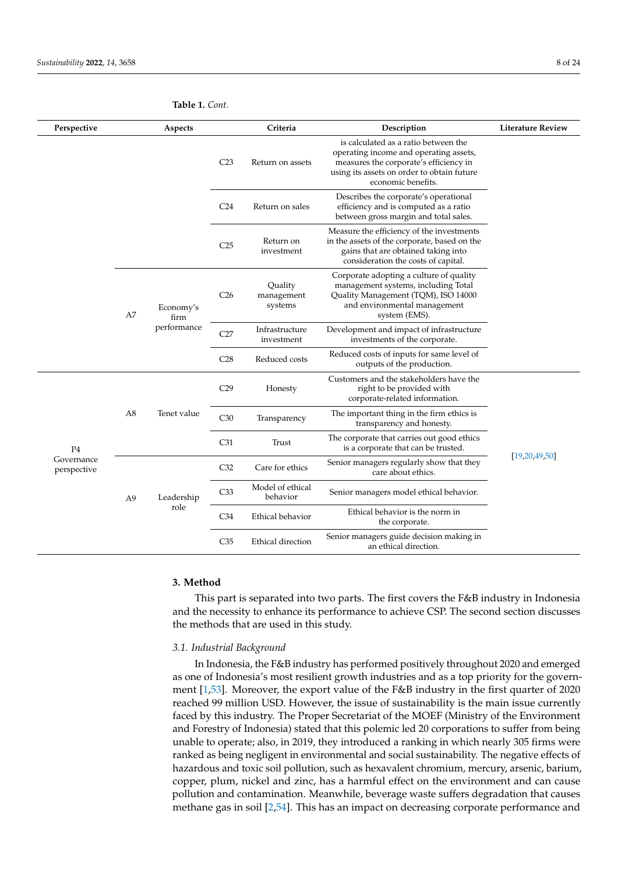P4 Governance perspective

<span id="page-9-1"></span>

|             |             | <b>Table 1.</b> Cont. |                              |                                                                           |                                                                                                                                                                                              |                          |
|-------------|-------------|-----------------------|------------------------------|---------------------------------------------------------------------------|----------------------------------------------------------------------------------------------------------------------------------------------------------------------------------------------|--------------------------|
| Perspective |             | Aspects               |                              | Criteria                                                                  | Description                                                                                                                                                                                  | <b>Literature Review</b> |
|             |             |                       | C <sub>23</sub>              | Return on assets                                                          | is calculated as a ratio between the<br>operating income and operating assets,<br>measures the corporate's efficiency in<br>using its assets on order to obtain future<br>economic benefits. |                          |
|             |             |                       | C <sub>24</sub>              | Return on sales                                                           | Describes the corporate's operational<br>efficiency and is computed as a ratio<br>between gross margin and total sales.                                                                      |                          |
|             |             |                       | C <sub>25</sub>              | Return on<br>investment                                                   | Measure the efficiency of the investments<br>in the assets of the corporate, based on the<br>gains that are obtained taking into<br>consideration the costs of capital.                      |                          |
|             | A7          | Economy's<br>firm     | C <sub>26</sub>              | Quality<br>management<br>systems                                          | Corporate adopting a culture of quality<br>management systems, including Total<br>Quality Management (TQM), ISO 14000<br>and environmental management<br>system (EMS).                       |                          |
|             | performance | C27                   | Infrastructure<br>investment | Development and impact of infrastructure<br>investments of the corporate. |                                                                                                                                                                                              |                          |
|             |             |                       | C28                          | Reduced costs                                                             | Reduced costs of inputs for same level of<br>outputs of the production.                                                                                                                      |                          |
|             |             |                       | C29                          | Honesty                                                                   | Customers and the stakeholders have the<br>right to be provided with<br>corporate-related information.                                                                                       |                          |
|             | A8          | Tenet value           | C30                          | Transparency                                                              | The important thing in the firm ethics is<br>transparency and honesty.                                                                                                                       |                          |

C31 Trust The corporate that carries out good ethics

C<sub>32</sub> Care for ethics Senior managers regularly show that they

C34 Ethical behavior Ethical behavior is the norm in

C35 Ethical direction Senior managers guide decision making in

is a corporate that can be trusted.

care about ethics.

Senior managers model ethical behavior.

the corporate.

an ethical direction.

## <span id="page-9-0"></span>**3. Method**

A9 Leadership role

> This part is separated into two parts. The first covers the F&B industry in Indonesia and the necessity to enhance its performance to achieve CSP. The second section discusses the methods that are used in this study.

## *3.1. Industrial Background*

C33 Model of ethical<br>behavior

In Indonesia, the F&B industry has performed positively throughout 2020 and emerged as one of Indonesia's most resilient growth industries and as a top priority for the government [\[1,](#page-23-0)[53\]](#page-25-0). Moreover, the export value of the F&B industry in the first quarter of 2020 reached 99 million USD. However, the issue of sustainability is the main issue currently faced by this industry. The Proper Secretariat of the MOEF (Ministry of the Environment and Forestry of Indonesia) stated that this polemic led 20 corporations to suffer from being unable to operate; also, in 2019, they introduced a ranking in which nearly 305 firms were ranked as being negligent in environmental and social sustainability. The negative effects of hazardous and toxic soil pollution, such as hexavalent chromium, mercury, arsenic, barium, copper, plum, nickel and zinc, has a harmful effect on the environment and can cause pollution and contamination. Meanwhile, beverage waste suffers degradation that causes methane gas in soil [\[2,](#page-23-1)[54\]](#page-25-1). This has an impact on decreasing corporate performance and

[\[19](#page-23-14)[,20](#page-23-15)[,49](#page-24-24)[,50\]](#page-24-25)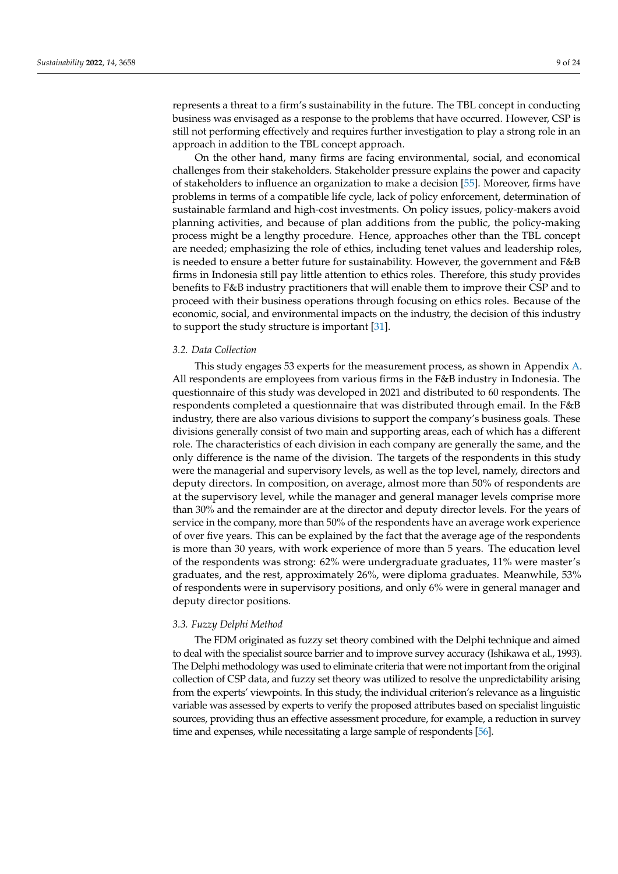represents a threat to a firm's sustainability in the future. The TBL concept in conducting business was envisaged as a response to the problems that have occurred. However, CSP is still not performing effectively and requires further investigation to play a strong role in an approach in addition to the TBL concept approach.

On the other hand, many firms are facing environmental, social, and economical challenges from their stakeholders. Stakeholder pressure explains the power and capacity of stakeholders to influence an organization to make a decision [\[55\]](#page-25-2). Moreover, firms have problems in terms of a compatible life cycle, lack of policy enforcement, determination of sustainable farmland and high-cost investments. On policy issues, policy-makers avoid planning activities, and because of plan additions from the public, the policy-making process might be a lengthy procedure. Hence, approaches other than the TBL concept are needed; emphasizing the role of ethics, including tenet values and leadership roles, is needed to ensure a better future for sustainability. However, the government and F&B firms in Indonesia still pay little attention to ethics roles. Therefore, this study provides benefits to F&B industry practitioners that will enable them to improve their CSP and to proceed with their business operations through focusing on ethics roles. Because of the economic, social, and environmental impacts on the industry, the decision of this industry to support the study structure is important [\[31\]](#page-24-6).

## *3.2. Data Collection*

This study engages 53 experts for the measurement process, as shown in Appendix [A.](#page-22-0) All respondents are employees from various firms in the F&B industry in Indonesia. The questionnaire of this study was developed in 2021 and distributed to 60 respondents. The respondents completed a questionnaire that was distributed through email. In the F&B industry, there are also various divisions to support the company's business goals. These divisions generally consist of two main and supporting areas, each of which has a different role. The characteristics of each division in each company are generally the same, and the only difference is the name of the division. The targets of the respondents in this study were the managerial and supervisory levels, as well as the top level, namely, directors and deputy directors. In composition, on average, almost more than 50% of respondents are at the supervisory level, while the manager and general manager levels comprise more than 30% and the remainder are at the director and deputy director levels. For the years of service in the company, more than 50% of the respondents have an average work experience of over five years. This can be explained by the fact that the average age of the respondents is more than 30 years, with work experience of more than 5 years. The education level of the respondents was strong: 62% were undergraduate graduates, 11% were master's graduates, and the rest, approximately 26%, were diploma graduates. Meanwhile, 53% of respondents were in supervisory positions, and only 6% were in general manager and deputy director positions.

## *3.3. Fuzzy Delphi Method*

The FDM originated as fuzzy set theory combined with the Delphi technique and aimed to deal with the specialist source barrier and to improve survey accuracy (Ishikawa et al., 1993). The Delphi methodology was used to eliminate criteria that were not important from the original collection of CSP data, and fuzzy set theory was utilized to resolve the unpredictability arising from the experts' viewpoints. In this study, the individual criterion's relevance as a linguistic variable was assessed by experts to verify the proposed attributes based on specialist linguistic sources, providing thus an effective assessment procedure, for example, a reduction in survey time and expenses, while necessitating a large sample of respondents [\[56\]](#page-25-3).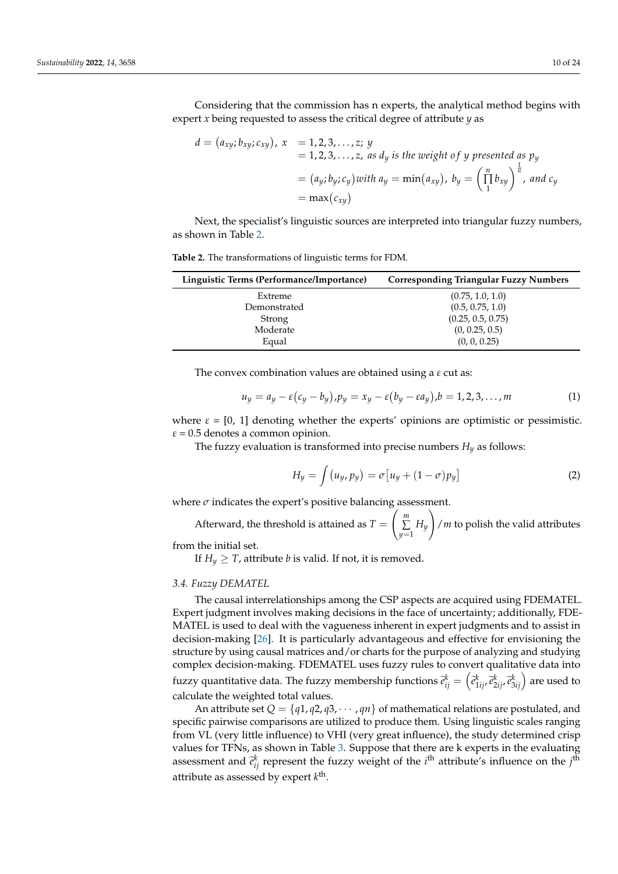Considering that the commission has n experts, the analytical method begins with expert *x* being requested to assess the critical degree of attribute *y* as

$$
d = (a_{xy}; b_{xy}; c_{xy}), x = 1, 2, 3, ..., z; y
$$
  
= 1, 2, 3, ..., z, as d<sub>y</sub> is the weight of y presented as  $p_y$   
=  $(a_y; b_y; c_y)$  with  $a_y = \min(a_{xy}), b_y = \left(\prod_{1}^{n} b_{xy}\right)^{\frac{1}{n}}$ , and  $c_y$   
=  $\max(c_{xy})$ 

Next, the specialist's linguistic sources are interpreted into triangular fuzzy numbers, as shown in Table [2.](#page-11-0)

<span id="page-11-0"></span>

| Table 2. The transformations of linguistic terms for FDM. |  |
|-----------------------------------------------------------|--|
|-----------------------------------------------------------|--|

| Linguistic Terms (Performance/Importance) | <b>Corresponding Triangular Fuzzy Numbers</b> |
|-------------------------------------------|-----------------------------------------------|
| Extreme                                   | (0.75, 1.0, 1.0)                              |
| Demonstrated                              | (0.5, 0.75, 1.0)                              |
| Strong                                    | (0.25, 0.5, 0.75)                             |
| Moderate                                  | (0, 0.25, 0.5)                                |
| Equal                                     | (0, 0, 0.25)                                  |

The convex combination values are obtained using a *ε* cut as:

$$
u_y = a_y - \varepsilon (c_y - b_y), p_y = x_y - \varepsilon (b_y - \varepsilon a_y), b = 1, 2, 3, \dots, m
$$
 (1)

where  $\varepsilon = [0, 1]$  denoting whether the experts' opinions are optimistic or pessimistic.  $\varepsilon$  = 0.5 denotes a common opinion.

The fuzzy evaluation is transformed into precise numbers  $H_y$  as follows:

$$
H_y = \int (u_y, p_y) = \sigma [u_y + (1 - \sigma) p_y]
$$
 (2)

where  $\sigma$  indicates the expert's positive balancing assessment.

Afterward, the threshold is attained as  $T =$  *m* ∑  $\sum_{y=1} H_y$  $\setminus$ /*m* to polish the valid attributes

from the initial set.

If  $H_v \geq T$ , attribute *b* is valid. If not, it is removed.

## *3.4. Fuzzy DEMATEL*

The causal interrelationships among the CSP aspects are acquired using FDEMATEL. Expert judgment involves making decisions in the face of uncertainty; additionally, FDE-MATEL is used to deal with the vagueness inherent in expert judgments and to assist in decision-making [\[26\]](#page-24-1). It is particularly advantageous and effective for envisioning the structure by using causal matrices and/or charts for the purpose of analyzing and studying complex decision-making. FDEMATEL uses fuzzy rules to convert qualitative data into fuzzy quantitative data. The fuzzy membership functions  $\tilde{e}^{k}_{ij} = \left(\tilde{e}^{k}_{1ij}, \tilde{e}^{k}_{2ij}, \tilde{e}^{k}_{3ij}\right)$  are used to calculate the weighted total values.

An attribute set  $Q = \{q_1, q_2, q_3, \cdots, q_n\}$  of mathematical relations are postulated, and specific pairwise comparisons are utilized to produce them. Using linguistic scales ranging from VL (very little influence) to VHI (very great influence), the study determined crisp values for TFNs, as shown in Table [3.](#page-12-0) Suppose that there are k experts in the evaluating assessment and  $\tilde{e}_{ij}^k$  represent the fuzzy weight of the *i*<sup>th</sup> attribute's influence on the *j*<sup>th</sup> attribute as assessed by expert  $k^{\text{th}}$ .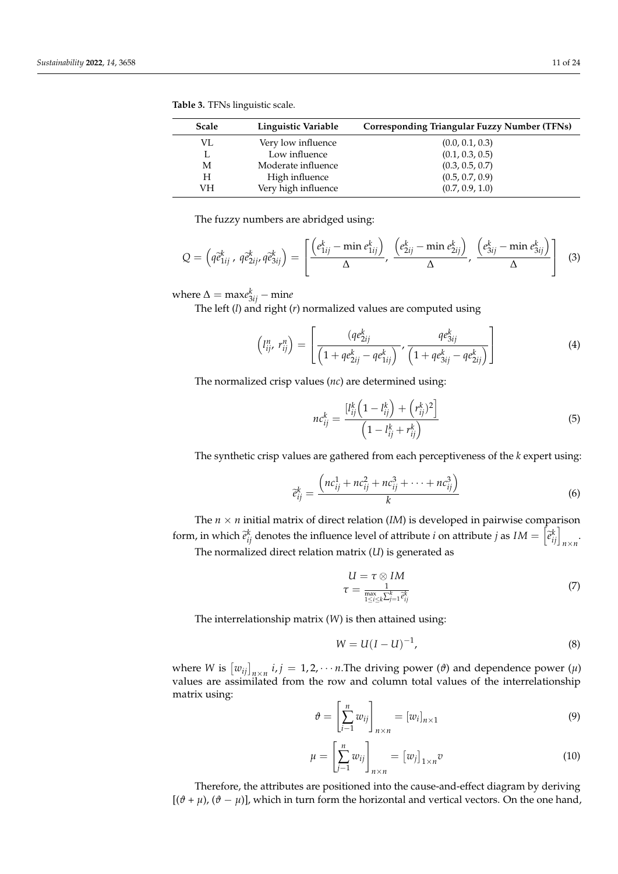| <b>Scale</b> | Linguistic Variable | <b>Corresponding Triangular Fuzzy Number (TFNs)</b> |
|--------------|---------------------|-----------------------------------------------------|
| VI.          | Very low influence  | (0.0, 0.1, 0.3)                                     |
| L            | Low influence       | (0.1, 0.3, 0.5)                                     |
| М            | Moderate influence  | (0.3, 0.5, 0.7)                                     |
| H            | High influence      | (0.5, 0.7, 0.9)                                     |
| VН           | Very high influence | (0.7, 0.9, 1.0)                                     |

<span id="page-12-0"></span>**Table 3.** TFNs linguistic scale.

The fuzzy numbers are abridged using:

$$
Q = \left(q\tilde{e}_{1ij}^k, q\tilde{e}_{2ij}^k, q\tilde{e}_{3ij}^k\right) = \left[\frac{\left(e_{1ij}^k - \min e_{1ij}^k\right)}{\Delta}, \frac{\left(e_{2ij}^k - \min e_{2ij}^k\right)}{\Delta}, \frac{\left(e_{3ij}^k - \min e_{3ij}^k\right)}{\Delta}\right]
$$
(3)

where  $\Delta = \text{max} e_{3ij}^k - \text{min} e$ 

The left (*l*) and right (*r*) normalized values are computed using

$$
\left(l_{ij}^n, r_{ij}^n\right) = \left[\frac{(qe_{2ij}^k}{\left(1+qe_{2ij}^k - qe_{1ij}^k\right)}, \frac{qe_{3ij}^k}{\left(1+qe_{3ij}^k - qe_{2ij}^k\right)}\right]
$$
(4)

The normalized crisp values (*nc*) are determined using:

$$
nc_{ij}^k = \frac{[l_{ij}^k \left(1 - l_{ij}^k\right) + \left(r_{ij}^k\right)^2]}{\left(1 - l_{ij}^k + r_{ij}^k\right)}
$$
(5)

The synthetic crisp values are gathered from each perceptiveness of the *k* expert using:

$$
\tilde{e}_{ij}^k = \frac{\left(nc_{ij}^1 + nc_{ij}^2 + nc_{ij}^3 + \dots + nc_{ij}^3\right)}{k}
$$
(6)

The  $n \times n$  initial matrix of direct relation (*IM*) is developed in pairwise comparison form, in which  $\hat{e}_{ij}^k$  denotes the influence level of attribute *i* on attribute *j* as  $IM = \begin{bmatrix} \hat{e}_{ij}^k \end{bmatrix}_{n \times n}$ .

The normalized direct relation matrix (*U*) is generated as

$$
U = \tau \otimes IM
$$
  
\n
$$
\tau = \frac{1}{\max_{1 \le i \le k} \sum_{j=1}^k \tilde{c}_{ij}^k}
$$
\n(7)

The interrelationship matrix (*W*) is then attained using:

$$
W = U(I - U)^{-1},
$$
 (8)

where *W* is  $[w_{ij}]_{n \times n}$  *i*, *j* = 1, 2, · · · *n*. The driving power ( $\vartheta$ ) and dependence power ( $\mu$ ) values are assimilated from the row and column total values of the interrelationship matrix using:

$$
\vartheta = \left[\sum_{i=1}^{n} w_{ij}\right]_{n \times n} = [w_i]_{n \times 1} \tag{9}
$$

$$
\mu = \left[\sum_{j=1}^{n} w_{ij}\right]_{n \times n} = \left[w_j\right]_{1 \times n} v \tag{10}
$$

Therefore, the attributes are positioned into the cause-and-effect diagram by deriving  $[(\vartheta + \mu), (\vartheta - \mu)]$ , which in turn form the horizontal and vertical vectors. On the one hand,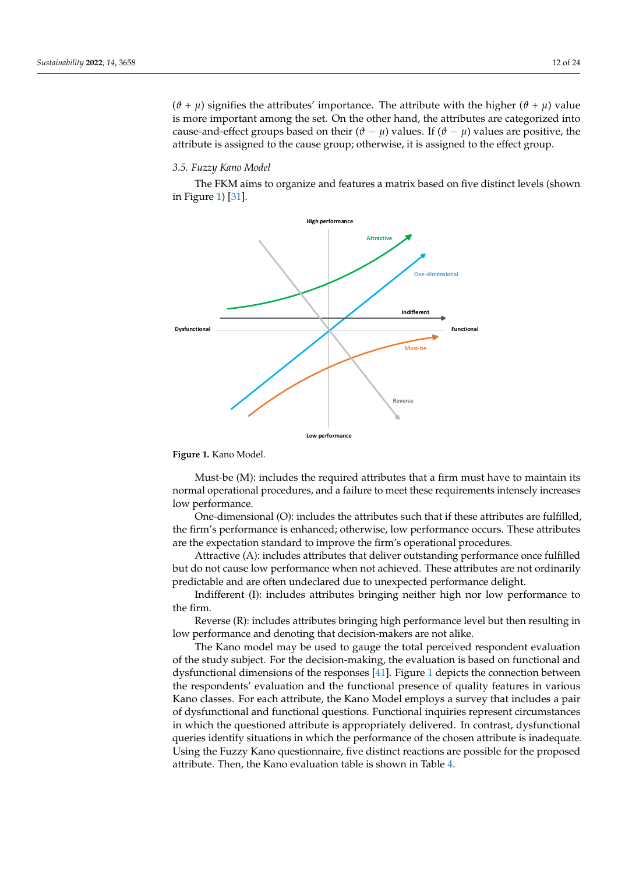$(\vartheta + \mu)$  signifies the attributes' importance. The attribute with the higher  $(\vartheta + \mu)$  value is more important among the set. On the other hand, the attributes are categorized into cause-and-effect groups based on their  $(\theta - \mu)$  values. If  $(\theta - \mu)$  values are positive, the attribute is assigned to the cause group; otherwise, it is assigned to the effect group.

## 3.5. Fuzzy Kano Model  $2.5$  Functional Model

The FKM aims to organize and features a matrix based on five distinct levels (shown in Figure [1\)](#page-13-0) [\[31\]](#page-24-6).

<span id="page-13-0"></span>

**Figure 1. Figure 1.** Kano Model. Kano Model.

Must-be (M): includes the required attributes that a firm must have to maintain its normal operational procedures, and a failure to meet these requirements intensely increases low performance.

One-dimensional (O): includes the attributes such that if these attributes are fulfilled, the firm's performance is enhanced; otherwise, low performance occurs. These attributes are the expectation standard to improve the firm's operational procedures.

Attractive (A): includes attributes that deliver outstanding performance once fulfilled but do not cause low performance when not achieved. These attributes are not ordinarily predictable and are often undeclared due to unexpected performance delight.

Indifferent (I): includes attributes bringing neither high nor low performance to the firm.

Reverse (R): includes attributes bringing high performance level but then resulting in low performance and denoting that decision-makers are not alike.

The Kano model may be used to gauge the total perceived respondent evaluation of the study subject. For the decision-making, the evaluation is based on functional and dysfunctional dimensions of the responses [\[41\]](#page-24-16). Figure [1](#page-13-0) depicts the connection between the respondents' evaluation and the functional presence of quality features in various Kano classes. For each attribute, the Kano Model employs a survey that includes a pair of dysfunctional and functional questions. Functional inquiries represent circumstances in which the questioned attribute is appropriately delivered. In contrast, dysfunctional queries identify situations in which the performance of the chosen attribute is inadequate. Using the Fuzzy Kano questionnaire, five distinct reactions are possible for the proposed attribute. Then, the Kano evaluation table is shown in Table [4.](#page-14-0)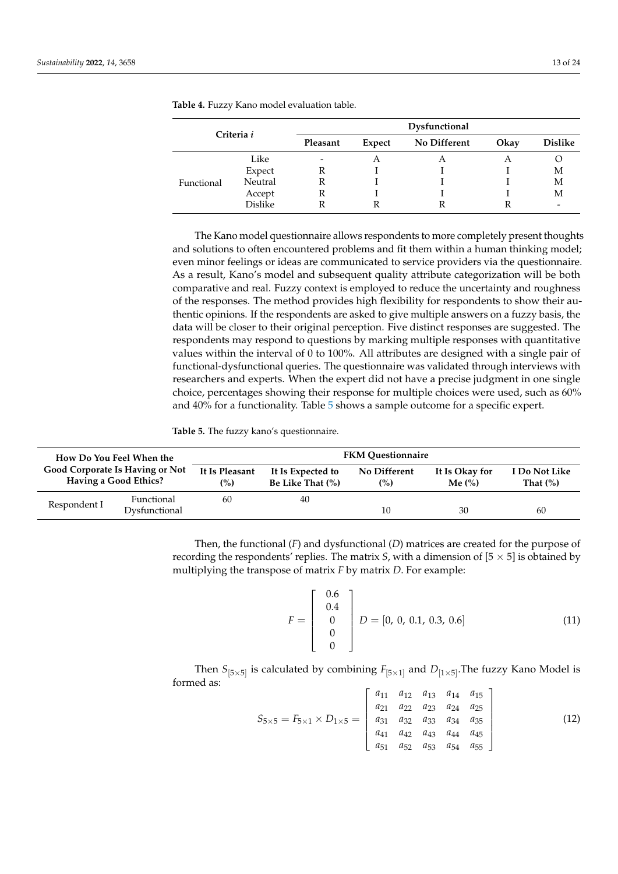| Criteria i |         |                          | Dysfunctional |              |      |                |  |  |  |
|------------|---------|--------------------------|---------------|--------------|------|----------------|--|--|--|
|            |         | Pleasant                 | Expect        | No Different | Okay | <b>Dislike</b> |  |  |  |
|            | Like    | $\overline{\phantom{0}}$ | A             | A            | A    |                |  |  |  |
|            | Expect  | R                        |               |              |      | М              |  |  |  |
| Functional | Neutral |                          |               |              |      | М              |  |  |  |
|            | Accept  | R                        |               |              |      | М              |  |  |  |
|            | Dislike |                          |               |              |      | -              |  |  |  |

<span id="page-14-0"></span>**Table 4.** Fuzzy Kano model evaluation table.

The Kano model questionnaire allows respondents to more completely present thoughts and solutions to often encountered problems and fit them within a human thinking model; even minor feelings or ideas are communicated to service providers via the questionnaire. As a result, Kano's model and subsequent quality attribute categorization will be both comparative and real. Fuzzy context is employed to reduce the uncertainty and roughness of the responses. The method provides high flexibility for respondents to show their authentic opinions. If the respondents are asked to give multiple answers on a fuzzy basis, the data will be closer to their original perception. Five distinct responses are suggested. The respondents may respond to questions by marking multiple responses with quantitative values within the interval of 0 to 100%. All attributes are designed with a single pair of functional-dysfunctional queries. The questionnaire was validated through interviews with researchers and experts. When the expert did not have a precise judgment in one single choice, percentages showing their response for multiple choices were used, such as 60% and 40% for a functionality. Table [5](#page-14-1) shows a sample outcome for a specific expert.

<span id="page-14-1"></span>**Table 5.** The fuzzy kano's questionnaire.

| How Do You Feel When the<br><b>Good Corporate Is Having or Not</b><br>Having a Good Ethics? |                             | <b>FKM Ouestionnaire</b> |                                       |                                |                                        |                               |  |
|---------------------------------------------------------------------------------------------|-----------------------------|--------------------------|---------------------------------------|--------------------------------|----------------------------------------|-------------------------------|--|
|                                                                                             |                             | It Is Pleasant<br>(%)    | It Is Expected to<br>Be Like That (%) | No Different<br>$\binom{9}{0}$ | It Is Okay for<br>Me $\left(\%\right)$ | I Do Not Like<br>That $(\% )$ |  |
| Respondent I                                                                                | Functional<br>Dysfunctional | 60                       | 40                                    | 10                             | 30                                     | 60                            |  |

Then, the functional (*F*) and dysfunctional (*D*) matrices are created for the purpose of recording the respondents' replies. The matrix *S*, with a dimension of  $[5 \times 5]$  is obtained by multiplying the transpose of matrix *F* by matrix *D*. For example:

$$
F = \begin{bmatrix} 0.6 \\ 0.4 \\ 0 \\ 0 \\ 0 \end{bmatrix} D = [0, 0, 0.1, 0.3, 0.6]
$$
 (11)

Then  $S_{[5\times5]}$  is calculated by combining  $F_{[5\times1]}$  and  $D_{[1\times5]}$ . The fuzzy Kano Model is formed as:

$$
S_{5\times5} = F_{5\times1} \times D_{1\times5} = \begin{bmatrix} a_{11} & a_{12} & a_{13} & a_{14} & a_{15} \\ a_{21} & a_{22} & a_{23} & a_{24} & a_{25} \\ a_{31} & a_{32} & a_{33} & a_{34} & a_{35} \\ a_{41} & a_{42} & a_{43} & a_{44} & a_{45} \\ a_{51} & a_{52} & a_{53} & a_{54} & a_{55} \end{bmatrix}
$$
(12)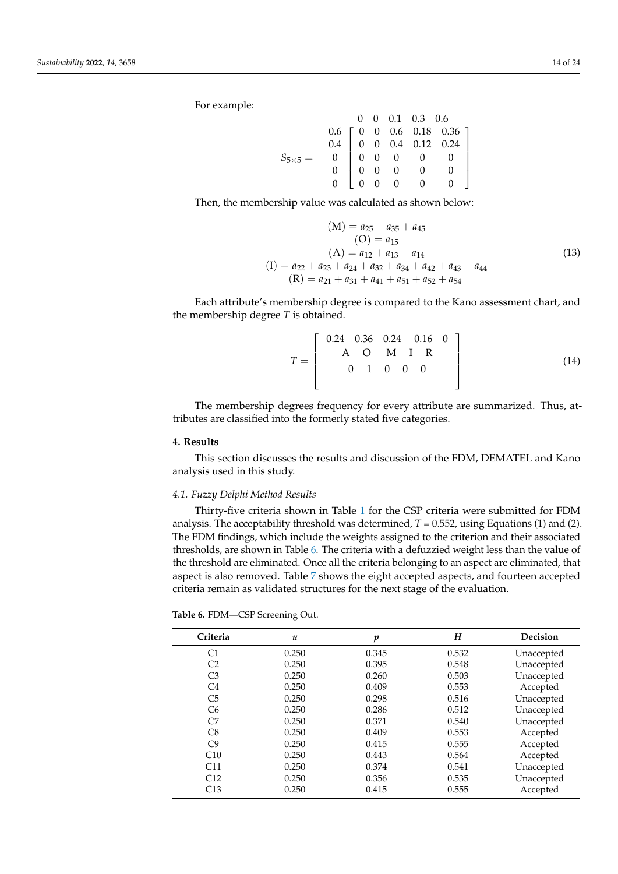For example:

|                  |  |  | $0 \t 0 \t 0.1 \t 0.3 \t 0.6$                                                                                                                                                          |  |
|------------------|--|--|----------------------------------------------------------------------------------------------------------------------------------------------------------------------------------------|--|
|                  |  |  |                                                                                                                                                                                        |  |
|                  |  |  |                                                                                                                                                                                        |  |
| $S_{5\times 5}=$ |  |  |                                                                                                                                                                                        |  |
|                  |  |  |                                                                                                                                                                                        |  |
|                  |  |  | $\left[\begin{array}{cccc c} 0.6 & 0 & 0.6 & 0.18 & 0.36 \ 0.4 & 0 & 0 & 0.4 & 0.12 & 0.24 \ 0 & 0 & 0 & 0 & 0 & 0 \ 0 & 0 & 0 & 0 & 0 & 0 \ 0 & 0 & 0 & 0 & 0 & 0 \end{array}\right]$ |  |

Then, the membership value was calculated as shown below:

$$
(M) = a_{25} + a_{35} + a_{45}
$$
  
\n
$$
(O) = a_{15}
$$
  
\n
$$
(A) = a_{12} + a_{13} + a_{14}
$$
  
\n
$$
(I) = a_{22} + a_{23} + a_{24} + a_{32} + a_{34} + a_{42} + a_{43} + a_{44}
$$
  
\n
$$
(R) = a_{21} + a_{31} + a_{41} + a_{51} + a_{52} + a_{54}
$$
\n(13)

Each attribute's membership degree is compared to the Kano assessment chart, and the membership degree *T* is obtained.

$$
T = \left[ \begin{array}{ccccc} 0.24 & 0.36 & 0.24 & 0.16 & 0 \\ \hline A & O & M & I & R \\ \hline 0 & 1 & 0 & 0 & 0 \\ \end{array} \right] \tag{14}
$$

The membership degrees frequency for every attribute are summarized. Thus, attributes are classified into the formerly stated five categories.

## <span id="page-15-0"></span>**4. Results**

This section discusses the results and discussion of the FDM, DEMATEL and Kano analysis used in this study.

## *4.1. Fuzzy Delphi Method Results*

Thirty-five criteria shown in Table [1](#page-9-1) for the CSP criteria were submitted for FDM analysis. The acceptability threshold was determined,  $T = 0.552$ , using Equations (1) and (2). The FDM findings, which include the weights assigned to the criterion and their associated thresholds, are shown in Table [6.](#page-16-0) The criteria with a defuzzied weight less than the value of the threshold are eliminated. Once all the criteria belonging to an aspect are eliminated, that aspect is also removed. Table [7](#page-16-1) shows the eight accepted aspects, and fourteen accepted criteria remain as validated structures for the next stage of the evaluation.

|  |  |  | Table 6. FDM-CSP Screening Out. |  |
|--|--|--|---------------------------------|--|
|--|--|--|---------------------------------|--|

| Criteria       | $\boldsymbol{u}$ | p     | H     | Decision   |
|----------------|------------------|-------|-------|------------|
| C <sub>1</sub> | 0.250            | 0.345 | 0.532 | Unaccepted |
| C <sub>2</sub> | 0.250            | 0.395 | 0.548 | Unaccepted |
| C <sub>3</sub> | 0.250            | 0.260 | 0.503 | Unaccepted |
| C4             | 0.250            | 0.409 | 0.553 | Accepted   |
| C <sub>5</sub> | 0.250            | 0.298 | 0.516 | Unaccepted |
| C <sub>6</sub> | 0.250            | 0.286 | 0.512 | Unaccepted |
| C7             | 0.250            | 0.371 | 0.540 | Unaccepted |
| C8             | 0.250            | 0.409 | 0.553 | Accepted   |
| C <sub>9</sub> | 0.250            | 0.415 | 0.555 | Accepted   |
| C10            | 0.250            | 0.443 | 0.564 | Accepted   |
| C11            | 0.250            | 0.374 | 0.541 | Unaccepted |
| C12            | 0.250            | 0.356 | 0.535 | Unaccepted |
| C13            | 0.250            | 0.415 | 0.555 | Accepted   |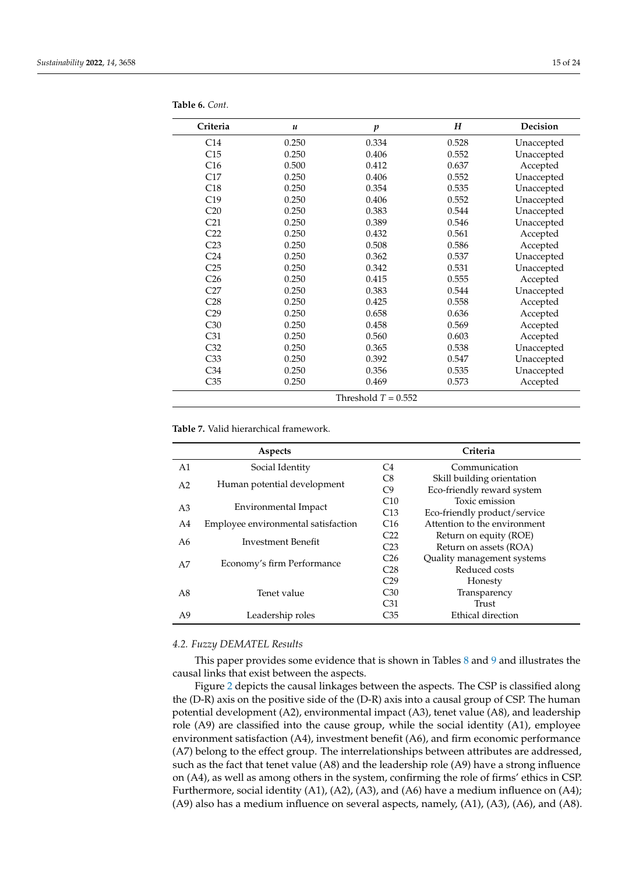| Criteria              | $\boldsymbol{u}$ | $\boldsymbol{p}$ | Н     | Decision   |  |  |
|-----------------------|------------------|------------------|-------|------------|--|--|
| C <sub>14</sub>       | 0.250            | 0.334            | 0.528 | Unaccepted |  |  |
| C15                   | 0.250            | 0.406            | 0.552 | Unaccepted |  |  |
| C16                   | 0.500            | 0.412            | 0.637 | Accepted   |  |  |
| C17                   | 0.250            | 0.406            | 0.552 | Unaccepted |  |  |
| C18                   | 0.250            | 0.354            | 0.535 | Unaccepted |  |  |
| C19                   | 0.250            | 0.406            | 0.552 | Unaccepted |  |  |
| C20                   | 0.250            | 0.383            | 0.544 | Unaccepted |  |  |
| C <sub>21</sub>       | 0.250            | 0.389            | 0.546 | Unaccepted |  |  |
| C22                   | 0.250            | 0.432            | 0.561 | Accepted   |  |  |
| C <sub>23</sub>       | 0.250            | 0.508            | 0.586 | Accepted   |  |  |
| C <sub>24</sub>       | 0.250            | 0.362            | 0.537 | Unaccepted |  |  |
| C <sub>25</sub>       | 0.250            | 0.342            | 0.531 | Unaccepted |  |  |
| C <sub>26</sub>       | 0.250            | 0.415            | 0.555 | Accepted   |  |  |
| C27                   | 0.250            | 0.383            | 0.544 | Unaccepted |  |  |
| C28                   | 0.250            | 0.425            | 0.558 | Accepted   |  |  |
| C <sub>29</sub>       | 0.250            | 0.658            | 0.636 | Accepted   |  |  |
| C30                   | 0.250            | 0.458            | 0.569 | Accepted   |  |  |
| C <sub>31</sub>       | 0.250            | 0.560            | 0.603 | Accepted   |  |  |
| C <sub>32</sub>       | 0.250            | 0.365            | 0.538 | Unaccepted |  |  |
| C <sub>33</sub>       | 0.250            | 0.392            | 0.547 | Unaccepted |  |  |
| C <sub>34</sub>       | 0.250            | 0.356            | 0.535 | Unaccepted |  |  |
| C35                   | 0.250            | 0.469            | 0.573 | Accepted   |  |  |
| Threshold $T = 0.552$ |                  |                  |       |            |  |  |

<span id="page-16-0"></span>**Table 6.** *Cont.*

<span id="page-16-1"></span>**Table 7.** Valid hierarchical framework.

|                | Aspects                                | Criteria        |                              |  |  |
|----------------|----------------------------------------|-----------------|------------------------------|--|--|
| A1             | Social Identity                        | C4              | Communication                |  |  |
| A <sub>2</sub> | Human potential development            | C8              | Skill building orientation   |  |  |
|                |                                        | C9              | Eco-friendly reward system   |  |  |
|                |                                        | C10             | Toxic emission               |  |  |
|                | Environmental Impact<br>A <sub>3</sub> |                 | Eco-friendly product/service |  |  |
| A4             | Employee environmental satisfaction    | C <sub>16</sub> | Attention to the environment |  |  |
|                | A6<br>Investment Benefit               |                 | Return on equity (ROE)       |  |  |
|                |                                        |                 | Return on assets (ROA)       |  |  |
|                |                                        | C <sub>26</sub> | Quality management systems   |  |  |
| A7             | Economy's firm Performance             | C28             | Reduced costs                |  |  |
|                |                                        | C29             | Honesty                      |  |  |
| A8             | Tenet value                            | C <sub>30</sub> | Transparency                 |  |  |
|                |                                        | C <sub>31</sub> | Trust                        |  |  |
| A9             | Leadership roles                       | C <sub>35</sub> | Ethical direction            |  |  |

## *4.2. Fuzzy DEMATEL Results*

This paper provides some evidence that is shown in Tables [8](#page-17-0) and [9](#page-17-1) and illustrates the causal links that exist between the aspects.

Figure [2](#page-17-2) depicts the causal linkages between the aspects. The CSP is classified along the (D-R) axis on the positive side of the (D-R) axis into a causal group of CSP. The human potential development (A2), environmental impact (A3), tenet value (A8), and leadership role (A9) are classified into the cause group, while the social identity (A1), employee environment satisfaction (A4), investment benefit (A6), and firm economic performance (A7) belong to the effect group. The interrelationships between attributes are addressed, such as the fact that tenet value (A8) and the leadership role (A9) have a strong influence on (A4), as well as among others in the system, confirming the role of firms' ethics in CSP. Furthermore, social identity (A1), (A2), (A3), and (A6) have a medium influence on (A4); (A9) also has a medium influence on several aspects, namely, (A1), (A3), (A6), and (A8).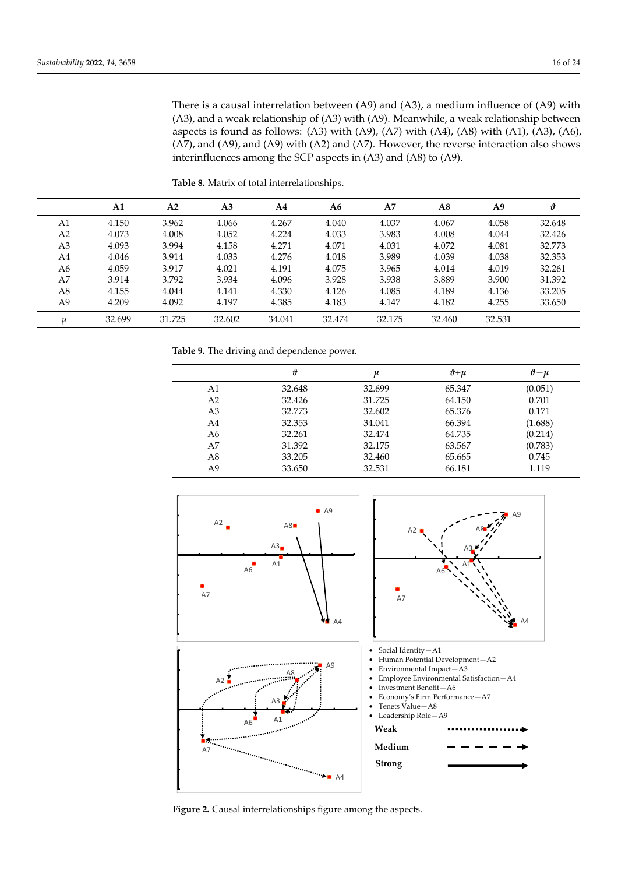There is a causal interrelation between (A9) and (A3), a medium influence of (A9) with (A3), and a weak relationship of (A3) with (A9). Meanwhile, a weak relationship between aspects is found as follows: (A3) with (A9), (A7) with (A4), (A8) with (A1), (A3), (A6), (A7), and (A9), and (A9) with (A2) and (A7). However, the reverse interaction also shows interinfluences among the SCP aspects in (A3) and (A8) to (A9).

|    | A1     | A2     | A <sub>3</sub> | A4     | A6     | A7     | A8     | A9     | v      |
|----|--------|--------|----------------|--------|--------|--------|--------|--------|--------|
| A1 | 4.150  | 3.962  | 4.066          | 4.267  | 4.040  | 4.037  | 4.067  | 4.058  | 32.648 |
| A2 | 4.073  | 4.008  | 4.052          | 4.224  | 4.033  | 3.983  | 4.008  | 4.044  | 32.426 |
| A3 | 4.093  | 3.994  | 4.158          | 4.271  | 4.071  | 4.031  | 4.072  | 4.081  | 32.773 |
| A4 | 4.046  | 3.914  | 4.033          | 4.276  | 4.018  | 3.989  | 4.039  | 4.038  | 32.353 |
| A6 | 4.059  | 3.917  | 4.021          | 4.191  | 4.075  | 3.965  | 4.014  | 4.019  | 32.261 |
| A7 | 3.914  | 3.792  | 3.934          | 4.096  | 3.928  | 3.938  | 3.889  | 3.900  | 31.392 |
| A8 | 4.155  | 4.044  | 4.141          | 4.330  | 4.126  | 4.085  | 4.189  | 4.136  | 33.205 |
| A9 | 4.209  | 4.092  | 4.197          | 4.385  | 4.183  | 4.147  | 4.182  | 4.255  | 33.650 |
| и  | 32.699 | 31.725 | 32.602         | 34.041 | 32.474 | 32.175 | 32.460 | 32.531 |        |

<span id="page-17-0"></span>**Table 8.** Matrix of total interrelationships.

<span id="page-17-1"></span>**Table 9.** The driving and dependence power.

|                | θ      | u      | $\vartheta + u$ | $\theta - \mu$ |
|----------------|--------|--------|-----------------|----------------|
| A1             | 32.648 | 32.699 | 65.347          | (0.051)        |
| A2             | 32.426 | 31.725 | 64.150          | 0.701          |
| A <sub>3</sub> | 32.773 | 32.602 | 65.376          | 0.171          |
| A4             | 32.353 | 34.041 | 66.394          | (1.688)        |
| A6             | 32.261 | 32.474 | 64.735          | (0.214)        |
| A7             | 31.392 | 32.175 | 63.567          | (0.783)        |
| A8             | 33.205 | 32.460 | 65.665          | 0.745          |
| A9             | 33.650 | 32.531 | 66.181          | 1.119          |

<span id="page-17-2"></span>

**Figure 2.** Causal interrelationships figure among the aspects. **Figure 2.** Causal interrelationships figure among the aspects.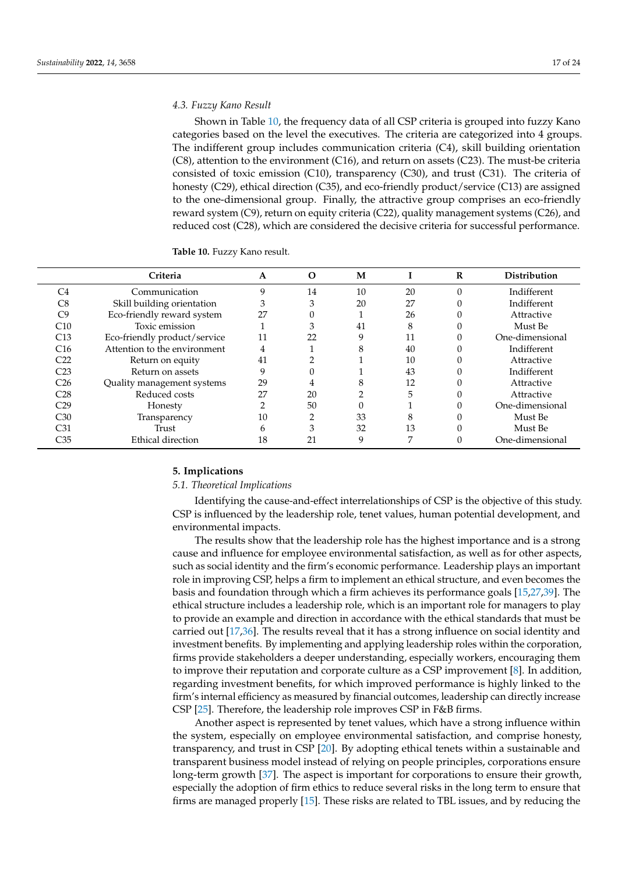## *4.3. Fuzzy Kano Result*

Shown in Table [10,](#page-18-1) the frequency data of all CSP criteria is grouped into fuzzy Kano categories based on the level the executives. The criteria are categorized into 4 groups. The indifferent group includes communication criteria (C4), skill building orientation (C8), attention to the environment (C16), and return on assets (C23). The must-be criteria consisted of toxic emission (C10), transparency (C30), and trust (C31). The criteria of honesty (C29), ethical direction (C35), and eco-friendly product/service (C13) are assigned to the one-dimensional group. Finally, the attractive group comprises an eco-friendly reward system (C9), return on equity criteria (C22), quality management systems (C26), and reduced cost (C28), which are considered the decisive criteria for successful performance.

<span id="page-18-1"></span>

| <b>Table 10. Fuzzy Kano result.</b> |  |
|-------------------------------------|--|
|-------------------------------------|--|

|                 | Criteria                     | A  | O  | M  |    | R | <b>Distribution</b> |
|-----------------|------------------------------|----|----|----|----|---|---------------------|
| C4              | Communication                | 9  | 14 | 10 | 20 |   | Indifferent         |
| C8              | Skill building orientation   | 3  | 3  | 20 | 27 |   | Indifferent         |
| C9              | Eco-friendly reward system   | 27 |    |    | 26 |   | Attractive          |
| C10             | Toxic emission               |    | 3  | 41 | 8  |   | Must Be             |
| C13             | Eco-friendly product/service | 11 | 22 | 9  |    |   | One-dimensional     |
| C16             | Attention to the environment |    |    | 8  | 40 |   | Indifferent         |
| C22             | Return on equity             | 41 |    |    | 10 |   | Attractive          |
| C23             | Return on assets             | q  |    |    | 43 |   | Indifferent         |
| C <sub>26</sub> | Quality management systems   | 29 |    | 8  | 12 |   | Attractive          |
| C28             | Reduced costs                | 27 | 20 |    | 5  |   | Attractive          |
| C29             | Honesty                      |    | 50 |    |    |   | One-dimensional     |
| C30             | Transparency                 | 10 | ◠  | 33 | 8  |   | Must Be             |
| C31             | Trust                        | h  | 3  | 32 | 13 |   | Must Be             |
| C35             | Ethical direction            | 18 | 21 | 9  | 7  |   | One-dimensional     |

## <span id="page-18-0"></span>**5. Implications**

## *5.1. Theoretical Implications*

Identifying the cause-and-effect interrelationships of CSP is the objective of this study. CSP is influenced by the leadership role, tenet values, human potential development, and environmental impacts.

The results show that the leadership role has the highest importance and is a strong cause and influence for employee environmental satisfaction, as well as for other aspects, such as social identity and the firm's economic performance. Leadership plays an important role in improving CSP, helps a firm to implement an ethical structure, and even becomes the basis and foundation through which a firm achieves its performance goals [\[15](#page-23-10)[,27,](#page-24-2)[39\]](#page-24-14). The ethical structure includes a leadership role, which is an important role for managers to play to provide an example and direction in accordance with the ethical standards that must be carried out [\[17,](#page-23-12)[36\]](#page-24-11). The results reveal that it has a strong influence on social identity and investment benefits. By implementing and applying leadership roles within the corporation, firms provide stakeholders a deeper understanding, especially workers, encouraging them to improve their reputation and corporate culture as a CSP improvement [\[8\]](#page-23-4). In addition, regarding investment benefits, for which improved performance is highly linked to the firm's internal efficiency as measured by financial outcomes, leadership can directly increase CSP [\[25\]](#page-24-0). Therefore, the leadership role improves CSP in F&B firms.

Another aspect is represented by tenet values, which have a strong influence within the system, especially on employee environmental satisfaction, and comprise honesty, transparency, and trust in CSP [\[20\]](#page-23-15). By adopting ethical tenets within a sustainable and transparent business model instead of relying on people principles, corporations ensure long-term growth [\[37\]](#page-24-12). The aspect is important for corporations to ensure their growth, especially the adoption of firm ethics to reduce several risks in the long term to ensure that firms are managed properly [\[15\]](#page-23-10). These risks are related to TBL issues, and by reducing the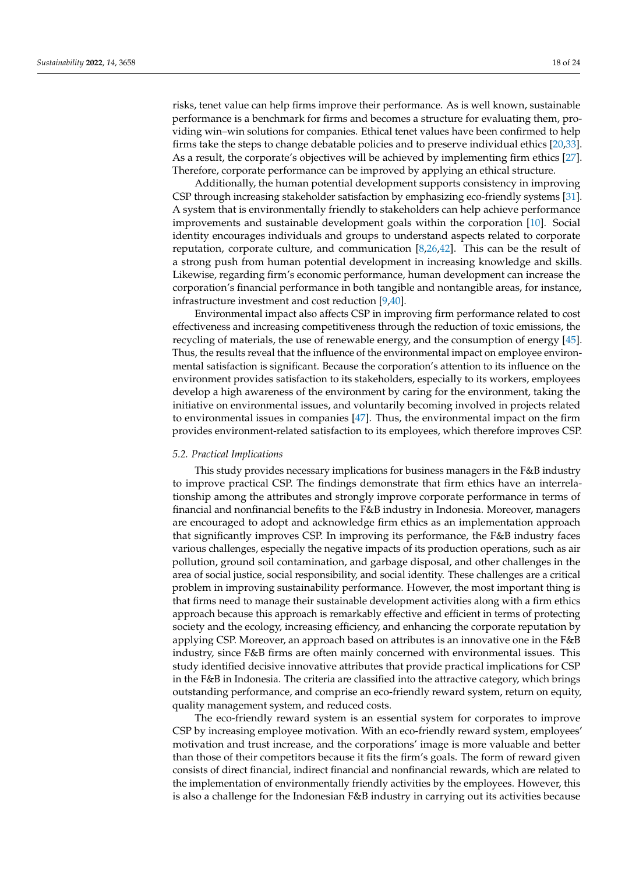risks, tenet value can help firms improve their performance. As is well known, sustainable performance is a benchmark for firms and becomes a structure for evaluating them, providing win–win solutions for companies. Ethical tenet values have been confirmed to help firms take the steps to change debatable policies and to preserve individual ethics [\[20,](#page-23-15)[33\]](#page-24-8). As a result, the corporate's objectives will be achieved by implementing firm ethics [\[27\]](#page-24-2). Therefore, corporate performance can be improved by applying an ethical structure.

Additionally, the human potential development supports consistency in improving CSP through increasing stakeholder satisfaction by emphasizing eco-friendly systems [\[31\]](#page-24-6). A system that is environmentally friendly to stakeholders can help achieve performance improvements and sustainable development goals within the corporation [\[10\]](#page-23-6). Social identity encourages individuals and groups to understand aspects related to corporate reputation, corporate culture, and communication [\[8,](#page-23-4)[26,](#page-24-1)[42\]](#page-24-17). This can be the result of a strong push from human potential development in increasing knowledge and skills. Likewise, regarding firm's economic performance, human development can increase the corporation's financial performance in both tangible and nontangible areas, for instance, infrastructure investment and cost reduction [\[9](#page-23-5)[,40\]](#page-24-15).

Environmental impact also affects CSP in improving firm performance related to cost effectiveness and increasing competitiveness through the reduction of toxic emissions, the recycling of materials, the use of renewable energy, and the consumption of energy [\[45\]](#page-24-20). Thus, the results reveal that the influence of the environmental impact on employee environmental satisfaction is significant. Because the corporation's attention to its influence on the environment provides satisfaction to its stakeholders, especially to its workers, employees develop a high awareness of the environment by caring for the environment, taking the initiative on environmental issues, and voluntarily becoming involved in projects related to environmental issues in companies [\[47\]](#page-24-22). Thus, the environmental impact on the firm provides environment-related satisfaction to its employees, which therefore improves CSP.

## *5.2. Practical Implications*

This study provides necessary implications for business managers in the F&B industry to improve practical CSP. The findings demonstrate that firm ethics have an interrelationship among the attributes and strongly improve corporate performance in terms of financial and nonfinancial benefits to the F&B industry in Indonesia. Moreover, managers are encouraged to adopt and acknowledge firm ethics as an implementation approach that significantly improves CSP. In improving its performance, the F&B industry faces various challenges, especially the negative impacts of its production operations, such as air pollution, ground soil contamination, and garbage disposal, and other challenges in the area of social justice, social responsibility, and social identity. These challenges are a critical problem in improving sustainability performance. However, the most important thing is that firms need to manage their sustainable development activities along with a firm ethics approach because this approach is remarkably effective and efficient in terms of protecting society and the ecology, increasing efficiency, and enhancing the corporate reputation by applying CSP. Moreover, an approach based on attributes is an innovative one in the F&B industry, since F&B firms are often mainly concerned with environmental issues. This study identified decisive innovative attributes that provide practical implications for CSP in the F&B in Indonesia. The criteria are classified into the attractive category, which brings outstanding performance, and comprise an eco-friendly reward system, return on equity, quality management system, and reduced costs.

The eco-friendly reward system is an essential system for corporates to improve CSP by increasing employee motivation. With an eco-friendly reward system, employees' motivation and trust increase, and the corporations' image is more valuable and better than those of their competitors because it fits the firm's goals. The form of reward given consists of direct financial, indirect financial and nonfinancial rewards, which are related to the implementation of environmentally friendly activities by the employees. However, this is also a challenge for the Indonesian F&B industry in carrying out its activities because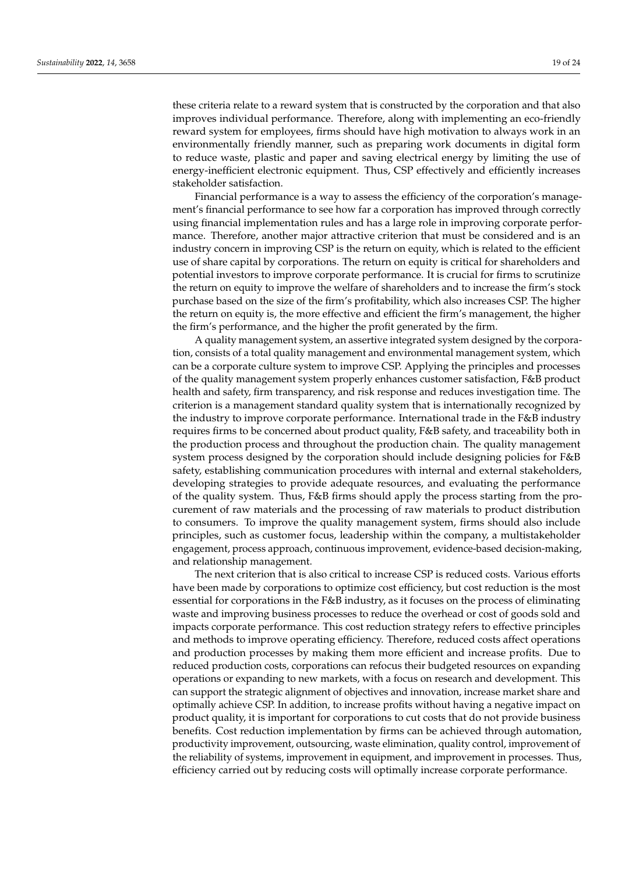these criteria relate to a reward system that is constructed by the corporation and that also improves individual performance. Therefore, along with implementing an eco-friendly reward system for employees, firms should have high motivation to always work in an environmentally friendly manner, such as preparing work documents in digital form to reduce waste, plastic and paper and saving electrical energy by limiting the use of energy-inefficient electronic equipment. Thus, CSP effectively and efficiently increases stakeholder satisfaction.

Financial performance is a way to assess the efficiency of the corporation's management's financial performance to see how far a corporation has improved through correctly using financial implementation rules and has a large role in improving corporate performance. Therefore, another major attractive criterion that must be considered and is an industry concern in improving CSP is the return on equity, which is related to the efficient use of share capital by corporations. The return on equity is critical for shareholders and potential investors to improve corporate performance. It is crucial for firms to scrutinize the return on equity to improve the welfare of shareholders and to increase the firm's stock purchase based on the size of the firm's profitability, which also increases CSP. The higher the return on equity is, the more effective and efficient the firm's management, the higher the firm's performance, and the higher the profit generated by the firm.

A quality management system, an assertive integrated system designed by the corporation, consists of a total quality management and environmental management system, which can be a corporate culture system to improve CSP. Applying the principles and processes of the quality management system properly enhances customer satisfaction, F&B product health and safety, firm transparency, and risk response and reduces investigation time. The criterion is a management standard quality system that is internationally recognized by the industry to improve corporate performance. International trade in the F&B industry requires firms to be concerned about product quality, F&B safety, and traceability both in the production process and throughout the production chain. The quality management system process designed by the corporation should include designing policies for F&B safety, establishing communication procedures with internal and external stakeholders, developing strategies to provide adequate resources, and evaluating the performance of the quality system. Thus, F&B firms should apply the process starting from the procurement of raw materials and the processing of raw materials to product distribution to consumers. To improve the quality management system, firms should also include principles, such as customer focus, leadership within the company, a multistakeholder engagement, process approach, continuous improvement, evidence-based decision-making, and relationship management.

The next criterion that is also critical to increase CSP is reduced costs. Various efforts have been made by corporations to optimize cost efficiency, but cost reduction is the most essential for corporations in the F&B industry, as it focuses on the process of eliminating waste and improving business processes to reduce the overhead or cost of goods sold and impacts corporate performance. This cost reduction strategy refers to effective principles and methods to improve operating efficiency. Therefore, reduced costs affect operations and production processes by making them more efficient and increase profits. Due to reduced production costs, corporations can refocus their budgeted resources on expanding operations or expanding to new markets, with a focus on research and development. This can support the strategic alignment of objectives and innovation, increase market share and optimally achieve CSP. In addition, to increase profits without having a negative impact on product quality, it is important for corporations to cut costs that do not provide business benefits. Cost reduction implementation by firms can be achieved through automation, productivity improvement, outsourcing, waste elimination, quality control, improvement of the reliability of systems, improvement in equipment, and improvement in processes. Thus, efficiency carried out by reducing costs will optimally increase corporate performance.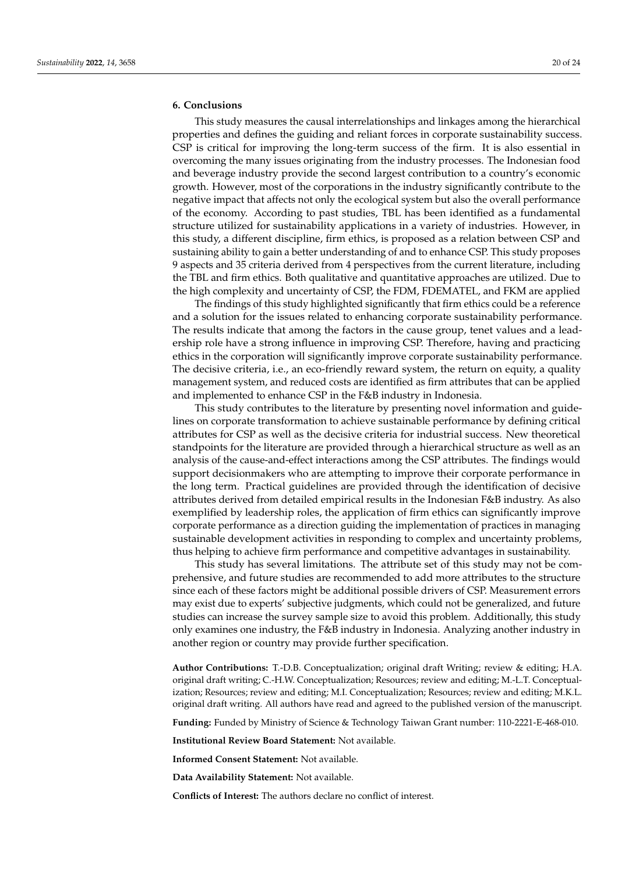## <span id="page-21-0"></span>**6. Conclusions**

This study measures the causal interrelationships and linkages among the hierarchical properties and defines the guiding and reliant forces in corporate sustainability success. CSP is critical for improving the long-term success of the firm. It is also essential in overcoming the many issues originating from the industry processes. The Indonesian food and beverage industry provide the second largest contribution to a country's economic growth. However, most of the corporations in the industry significantly contribute to the negative impact that affects not only the ecological system but also the overall performance of the economy. According to past studies, TBL has been identified as a fundamental structure utilized for sustainability applications in a variety of industries. However, in this study, a different discipline, firm ethics, is proposed as a relation between CSP and sustaining ability to gain a better understanding of and to enhance CSP. This study proposes 9 aspects and 35 criteria derived from 4 perspectives from the current literature, including the TBL and firm ethics. Both qualitative and quantitative approaches are utilized. Due to the high complexity and uncertainty of CSP, the FDM, FDEMATEL, and FKM are applied

The findings of this study highlighted significantly that firm ethics could be a reference and a solution for the issues related to enhancing corporate sustainability performance. The results indicate that among the factors in the cause group, tenet values and a leadership role have a strong influence in improving CSP. Therefore, having and practicing ethics in the corporation will significantly improve corporate sustainability performance. The decisive criteria, i.e., an eco-friendly reward system, the return on equity, a quality management system, and reduced costs are identified as firm attributes that can be applied and implemented to enhance CSP in the F&B industry in Indonesia.

This study contributes to the literature by presenting novel information and guidelines on corporate transformation to achieve sustainable performance by defining critical attributes for CSP as well as the decisive criteria for industrial success. New theoretical standpoints for the literature are provided through a hierarchical structure as well as an analysis of the cause-and-effect interactions among the CSP attributes. The findings would support decisionmakers who are attempting to improve their corporate performance in the long term. Practical guidelines are provided through the identification of decisive attributes derived from detailed empirical results in the Indonesian F&B industry. As also exemplified by leadership roles, the application of firm ethics can significantly improve corporate performance as a direction guiding the implementation of practices in managing sustainable development activities in responding to complex and uncertainty problems, thus helping to achieve firm performance and competitive advantages in sustainability.

This study has several limitations. The attribute set of this study may not be comprehensive, and future studies are recommended to add more attributes to the structure since each of these factors might be additional possible drivers of CSP. Measurement errors may exist due to experts' subjective judgments, which could not be generalized, and future studies can increase the survey sample size to avoid this problem. Additionally, this study only examines one industry, the F&B industry in Indonesia. Analyzing another industry in another region or country may provide further specification.

**Author Contributions:** T.-D.B. Conceptualization; original draft Writing; review & editing; H.A. original draft writing; C.-H.W. Conceptualization; Resources; review and editing; M.-L.T. Conceptualization; Resources; review and editing; M.I. Conceptualization; Resources; review and editing; M.K.L. original draft writing. All authors have read and agreed to the published version of the manuscript.

**Funding:** Funded by Ministry of Science & Technology Taiwan Grant number: 110-2221-E-468-010.

**Institutional Review Board Statement:** Not available.

**Informed Consent Statement:** Not available.

**Data Availability Statement:** Not available.

**Conflicts of Interest:** The authors declare no conflict of interest.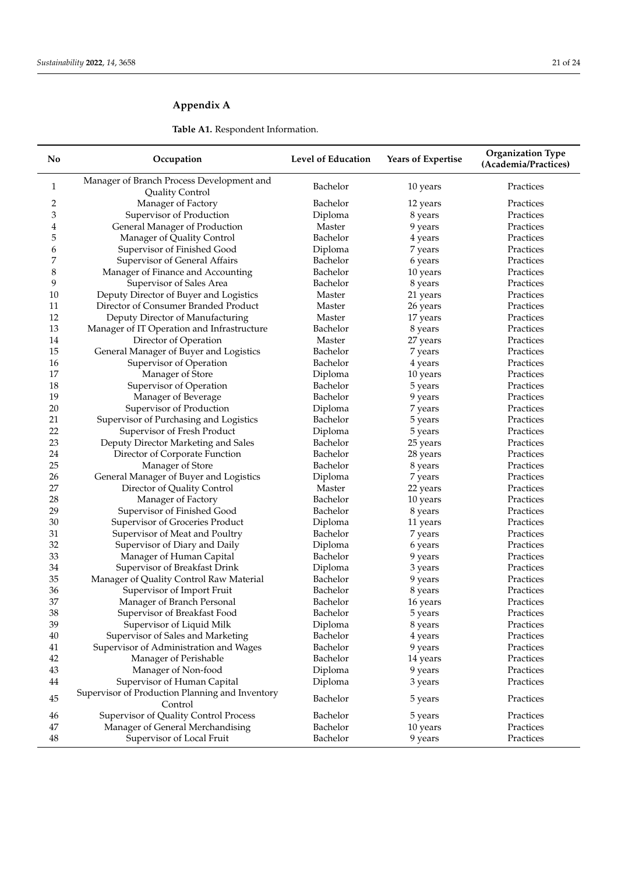## <span id="page-22-0"></span>**Appendix A**

## **Table A1.** Respondent Information.

| No       | Occupation                                                          | Level of Education   | <b>Years of Expertise</b> | <b>Organization Type</b><br>(Academia/Practices) |
|----------|---------------------------------------------------------------------|----------------------|---------------------------|--------------------------------------------------|
| 1        | Manager of Branch Process Development and<br><b>Quality Control</b> | Bachelor             | 10 years                  | Practices                                        |
| 2        | Manager of Factory                                                  | Bachelor             | 12 years                  | Practices                                        |
| 3        | Supervisor of Production                                            | Diploma              | 8 years                   | Practices                                        |
| 4        | General Manager of Production                                       | Master               | 9 years                   | Practices                                        |
| 5        | Manager of Quality Control                                          | Bachelor             | 4 years                   | Practices                                        |
| 6        | Supervisor of Finished Good                                         | Diploma              | 7 years                   | Practices                                        |
| 7        | Supervisor of General Affairs                                       | Bachelor             | 6 years                   | Practices                                        |
| 8        | Manager of Finance and Accounting                                   | Bachelor             | 10 years                  | Practices                                        |
| 9        | Supervisor of Sales Area                                            | Bachelor             | 8 years                   | Practices                                        |
| 10       | Deputy Director of Buyer and Logistics                              | Master               | 21 years                  | Practices                                        |
| 11       | Director of Consumer Branded Product                                | Master               | 26 years                  | Practices                                        |
| 12       | Deputy Director of Manufacturing                                    | Master               | 17 years                  | Practices                                        |
| 13       | Manager of IT Operation and Infrastructure                          | Bachelor             | 8 years                   | Practices                                        |
| 14       | Director of Operation                                               | Master               | 27 years                  | Practices                                        |
| 15       | General Manager of Buyer and Logistics                              | Bachelor             | 7 years                   | Practices                                        |
| 16       | Supervisor of Operation                                             | Bachelor             | 4 years                   | Practices                                        |
| 17       | Manager of Store                                                    | Diploma              | 10 years                  | Practices                                        |
| 18       | Supervisor of Operation                                             | Bachelor             | 5 years                   | Practices                                        |
| 19       | Manager of Beverage                                                 | Bachelor             | 9 years                   | Practices                                        |
| 20       | Supervisor of Production                                            | Diploma              | 7 years                   | Practices                                        |
| 21       | Supervisor of Purchasing and Logistics                              | Bachelor             | 5 years                   | Practices                                        |
| 22       | Supervisor of Fresh Product                                         | Diploma              | 5 years                   | Practices                                        |
| 23       | Deputy Director Marketing and Sales                                 | Bachelor             | 25 years                  | Practices                                        |
| 24       | Director of Corporate Function                                      | Bachelor             | 28 years                  | Practices                                        |
| 25       | Manager of Store                                                    | Bachelor             | 8 years                   | Practices                                        |
| 26       | General Manager of Buyer and Logistics                              | Diploma              | 7 years                   | Practices                                        |
| 27       | Director of Quality Control                                         | Master               | 22 years                  | Practices                                        |
| 28       | Manager of Factory                                                  | Bachelor             | 10 years                  | Practices                                        |
| 29       | Supervisor of Finished Good                                         | Bachelor             | 8 years                   | Practices                                        |
| 30       | Supervisor of Groceries Product                                     | Diploma              | 11 years                  | Practices                                        |
| 31       | Supervisor of Meat and Poultry                                      | Bachelor             | 7 years                   | Practices                                        |
| 32       | Supervisor of Diary and Daily                                       | Diploma              | 6 years                   | Practices                                        |
| 33       |                                                                     | Bachelor             |                           | Practices                                        |
| 34       | Manager of Human Capital<br>Supervisor of Breakfast Drink           | Diploma              | 9 years<br>3 years        | Practices                                        |
| 35       |                                                                     | Bachelor             |                           | Practices                                        |
|          | Manager of Quality Control Raw Material                             |                      | 9 years                   |                                                  |
| 36<br>37 | Supervisor of Import Fruit                                          | Bachelor<br>Bachelor | 8 years                   | Practices                                        |
|          | Manager of Branch Personal                                          |                      | 16 years                  | Practices                                        |
| 38       | Supervisor of Breakfast Food                                        | Bachelor             | 5 years                   | Practices                                        |
| 39       | Supervisor of Liquid Milk                                           | Diploma              | 8 years                   | Practices                                        |
| 40       | Supervisor of Sales and Marketing                                   | Bachelor             | 4 years                   | Practices                                        |
| 41       | Supervisor of Administration and Wages                              | Bachelor             | 9 years                   | Practices                                        |
| 42       | Manager of Perishable                                               | Bachelor             | 14 years                  | Practices                                        |
| 43       | Manager of Non-food                                                 | Diploma              | 9 years                   | Practices                                        |
| 44       | Supervisor of Human Capital                                         | Diploma              | 3 years                   | Practices                                        |
| 45       | Supervisor of Production Planning and Inventory<br>Control          | Bachelor             | 5 years                   | Practices                                        |
| 46       | Supervisor of Quality Control Process                               | Bachelor             | 5 years                   | Practices                                        |
| 47       | Manager of General Merchandising                                    | Bachelor             | 10 years                  | Practices                                        |
| 48       | Supervisor of Local Fruit                                           | Bachelor             | 9 years                   | Practices                                        |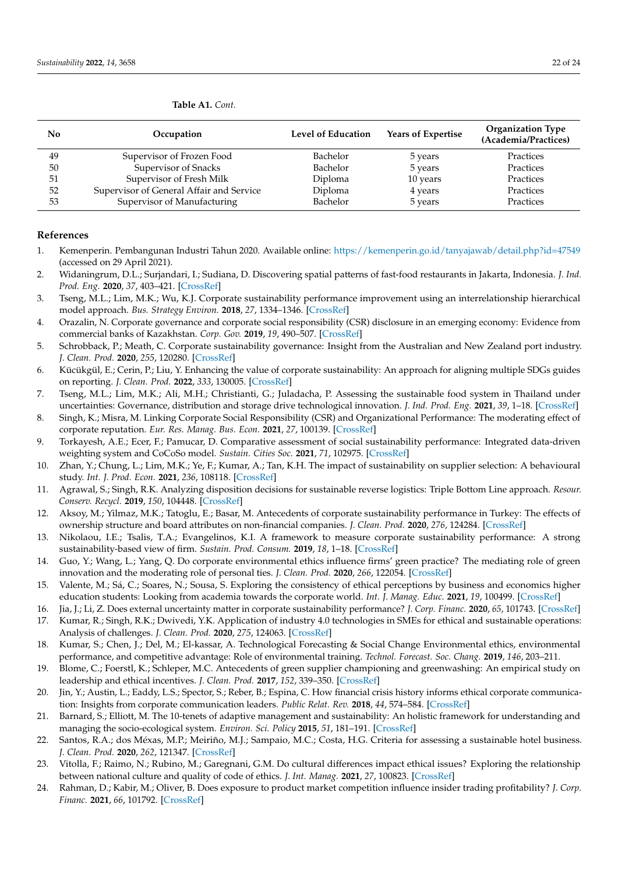| No | Occupation                               | Level of Education | <b>Years of Expertise</b> | <b>Organization Type</b><br>(Academia/Practices) |
|----|------------------------------------------|--------------------|---------------------------|--------------------------------------------------|
| 49 | Supervisor of Frozen Food                | Bachelor           | 5 years                   | Practices                                        |
| 50 | Supervisor of Snacks                     | Bachelor           | 5 years                   | Practices                                        |
| 51 | Supervisor of Fresh Milk                 | Diploma            | 10 years                  | Practices                                        |
| 52 | Supervisor of General Affair and Service | Diploma            | 4 years                   | Practices                                        |
| 53 | Supervisor of Manufacturing              | Bachelor           | 5 years                   | Practices                                        |

#### **Table A1.** *Cont.*

#### **References**

- <span id="page-23-0"></span>1. Kemenperin. Pembangunan Industri Tahun 2020. Available online: <https://kemenperin.go.id/tanyajawab/detail.php?id=47549> (accessed on 29 April 2021).
- <span id="page-23-1"></span>2. Widaningrum, D.L.; Surjandari, I.; Sudiana, D. Discovering spatial patterns of fast-food restaurants in Jakarta, Indonesia. *J. Ind. Prod. Eng.* **2020**, *37*, 403–421. [\[CrossRef\]](http://doi.org/10.1080/21681015.2020.1823495)
- <span id="page-23-2"></span>3. Tseng, M.L.; Lim, M.K.; Wu, K.J. Corporate sustainability performance improvement using an interrelationship hierarchical model approach. *Bus. Strategy Environ.* **2018**, *27*, 1334–1346. [\[CrossRef\]](http://doi.org/10.1002/bse.2182)
- <span id="page-23-21"></span>4. Orazalin, N. Corporate governance and corporate social responsibility (CSR) disclosure in an emerging economy: Evidence from commercial banks of Kazakhstan. *Corp. Gov.* **2019**, *19*, 490–507. [\[CrossRef\]](http://doi.org/10.1108/CG-09-2018-0290)
- 5. Schrobback, P.; Meath, C. Corporate sustainability governance: Insight from the Australian and New Zealand port industry. *J. Clean. Prod.* **2020**, *255*, 120280. [\[CrossRef\]](http://doi.org/10.1016/j.jclepro.2020.120280)
- 6. Kücükgül, E.; Cerin, P.; Liu, Y. Enhancing the value of corporate sustainability: An approach for aligning multiple SDGs guides on reporting. *J. Clean. Prod.* **2022**, *333*, 130005. [\[CrossRef\]](http://doi.org/10.1016/j.jclepro.2021.130005)
- <span id="page-23-3"></span>7. Tseng, M.L.; Lim, M.K.; Ali, M.H.; Christianti, G.; Juladacha, P. Assessing the sustainable food system in Thailand under uncertainties: Governance, distribution and storage drive technological innovation. *J. Ind. Prod. Eng.* **2021**, *39*, 1–18. [\[CrossRef\]](http://doi.org/10.1080/21681015.2021.1951858)
- <span id="page-23-4"></span>8. Singh, K.; Misra, M. Linking Corporate Social Responsibility (CSR) and Organizational Performance: The moderating effect of corporate reputation. *Eur. Res. Manag. Bus. Econ.* **2021**, *27*, 100139. [\[CrossRef\]](http://doi.org/10.1016/j.iedeen.2020.100139)
- <span id="page-23-5"></span>9. Torkayesh, A.E.; Ecer, F.; Pamucar, D. Comparative assessment of social sustainability performance: Integrated data-driven weighting system and CoCoSo model. *Sustain. Cities Soc.* **2021**, *71*, 102975. [\[CrossRef\]](http://doi.org/10.1016/j.scs.2021.102975)
- <span id="page-23-6"></span>10. Zhan, Y.; Chung, L.; Lim, M.K.; Ye, F.; Kumar, A.; Tan, K.H. The impact of sustainability on supplier selection: A behavioural study. *Int. J. Prod. Econ.* **2021**, *236*, 108118. [\[CrossRef\]](http://doi.org/10.1016/j.ijpe.2021.108118)
- <span id="page-23-7"></span>11. Agrawal, S.; Singh, R.K. Analyzing disposition decisions for sustainable reverse logistics: Triple Bottom Line approach. *Resour. Conserv. Recycl.* **2019**, *150*, 104448. [\[CrossRef\]](http://doi.org/10.1016/j.resconrec.2019.104448)
- <span id="page-23-8"></span>12. Aksoy, M.; Yilmaz, M.K.; Tatoglu, E.; Basar, M. Antecedents of corporate sustainability performance in Turkey: The effects of ownership structure and board attributes on non-financial companies. *J. Clean. Prod.* **2020**, *276*, 124284. [\[CrossRef\]](http://doi.org/10.1016/j.jclepro.2020.124284)
- <span id="page-23-9"></span>13. Nikolaou, I.E.; Tsalis, T.A.; Evangelinos, K.I. A framework to measure corporate sustainability performance: A strong sustainability-based view of firm. *Sustain. Prod. Consum.* **2019**, *18*, 1–18. [\[CrossRef\]](http://doi.org/10.1016/j.spc.2018.10.004)
- <span id="page-23-20"></span>14. Guo, Y.; Wang, L.; Yang, Q. Do corporate environmental ethics influence firms' green practice? The mediating role of green innovation and the moderating role of personal ties. *J. Clean. Prod.* **2020**, *266*, 122054. [\[CrossRef\]](http://doi.org/10.1016/j.jclepro.2020.122054)
- <span id="page-23-10"></span>15. Valente, M.; Sá, C.; Soares, N.; Sousa, S. Exploring the consistency of ethical perceptions by business and economics higher education students: Looking from academia towards the corporate world. *Int. J. Manag. Educ.* **2021**, *19*, 100499. [\[CrossRef\]](http://doi.org/10.1016/j.ijme.2021.100499)
- <span id="page-23-11"></span>16. Jia, J.; Li, Z. Does external uncertainty matter in corporate sustainability performance? *J. Corp. Financ.* **2020**, *65*, 101743. [\[CrossRef\]](http://doi.org/10.1016/j.jcorpfin.2020.101743)
- <span id="page-23-12"></span>17. Kumar, R.; Singh, R.K.; Dwivedi, Y.K. Application of industry 4.0 technologies in SMEs for ethical and sustainable operations: Analysis of challenges. *J. Clean. Prod.* **2020**, *275*, 124063. [\[CrossRef\]](http://doi.org/10.1016/j.jclepro.2020.124063)
- <span id="page-23-13"></span>18. Kumar, S.; Chen, J.; Del, M.; El-kassar, A. Technological Forecasting & Social Change Environmental ethics, environmental performance, and competitive advantage: Role of environmental training. *Technol. Forecast. Soc. Chang.* **2019**, *146*, 203–211.
- <span id="page-23-14"></span>19. Blome, C.; Foerstl, K.; Schleper, M.C. Antecedents of green supplier championing and greenwashing: An empirical study on leadership and ethical incentives. *J. Clean. Prod.* **2017**, *152*, 339–350. [\[CrossRef\]](http://doi.org/10.1016/j.jclepro.2017.03.052)
- <span id="page-23-15"></span>20. Jin, Y.; Austin, L.; Eaddy, L.S.; Spector, S.; Reber, B.; Espina, C. How financial crisis history informs ethical corporate communication: Insights from corporate communication leaders. *Public Relat. Rev.* **2018**, *44*, 574–584. [\[CrossRef\]](http://doi.org/10.1016/j.pubrev.2018.06.003)
- <span id="page-23-16"></span>21. Barnard, S.; Elliott, M. The 10-tenets of adaptive management and sustainability: An holistic framework for understanding and managing the socio-ecological system. *Environ. Sci. Policy* **2015**, *51*, 181–191. [\[CrossRef\]](http://doi.org/10.1016/j.envsci.2015.04.008)
- <span id="page-23-17"></span>22. Santos, R.A.; dos Méxas, M.P.; Meiriño, M.J.; Sampaio, M.C.; Costa, H.G. Criteria for assessing a sustainable hotel business. *J. Clean. Prod.* **2020**, *262*, 121347. [\[CrossRef\]](http://doi.org/10.1016/j.jclepro.2020.121347)
- <span id="page-23-18"></span>23. Vitolla, F.; Raimo, N.; Rubino, M.; Garegnani, G.M. Do cultural differences impact ethical issues? Exploring the relationship between national culture and quality of code of ethics. *J. Int. Manag.* **2021**, *27*, 100823. [\[CrossRef\]](http://doi.org/10.1016/j.intman.2021.100823)
- <span id="page-23-19"></span>24. Rahman, D.; Kabir, M.; Oliver, B. Does exposure to product market competition influence insider trading profitability? *J. Corp. Financ.* **2021**, *66*, 101792. [\[CrossRef\]](http://doi.org/10.1016/j.jcorpfin.2020.101792)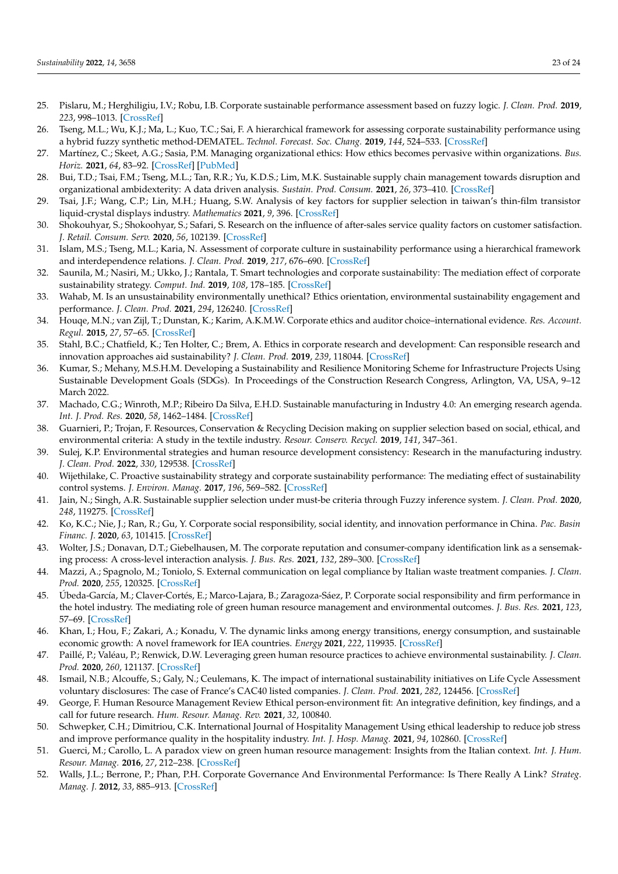- <span id="page-24-0"></span>25. Pislaru, M.; Herghiligiu, I.V.; Robu, I.B. Corporate sustainable performance assessment based on fuzzy logic. *J. Clean. Prod.* **2019**, *223*, 998–1013. [\[CrossRef\]](http://doi.org/10.1016/j.jclepro.2019.03.130)
- <span id="page-24-1"></span>26. Tseng, M.L.; Wu, K.J.; Ma, L.; Kuo, T.C.; Sai, F. A hierarchical framework for assessing corporate sustainability performance using a hybrid fuzzy synthetic method-DEMATEL. *Technol. Forecast. Soc. Chang.* **2019**, *144*, 524–533. [\[CrossRef\]](http://doi.org/10.1016/j.techfore.2017.10.014)
- <span id="page-24-2"></span>27. Martínez, C.; Skeet, A.G.; Sasia, P.M. Managing organizational ethics: How ethics becomes pervasive within organizations. *Bus. Horiz.* **2021**, *64*, 83–92. [\[CrossRef\]](http://doi.org/10.1016/j.bushor.2020.09.008) [\[PubMed\]](http://www.ncbi.nlm.nih.gov/pubmed/33106706)
- <span id="page-24-3"></span>28. Bui, T.D.; Tsai, F.M.; Tseng, M.L.; Tan, R.R.; Yu, K.D.S.; Lim, M.K. Sustainable supply chain management towards disruption and organizational ambidexterity: A data driven analysis. *Sustain. Prod. Consum.* **2021**, *26*, 373–410. [\[CrossRef\]](http://doi.org/10.1016/j.spc.2020.09.017)
- <span id="page-24-4"></span>29. Tsai, J.F.; Wang, C.P.; Lin, M.H.; Huang, S.W. Analysis of key factors for supplier selection in taiwan's thin-film transistor liquid-crystal displays industry. *Mathematics* **2021**, *9*, 396. [\[CrossRef\]](http://doi.org/10.3390/math9040396)
- <span id="page-24-5"></span>30. Shokouhyar, S.; Shokoohyar, S.; Safari, S. Research on the influence of after-sales service quality factors on customer satisfaction. *J. Retail. Consum. Serv.* **2020**, *56*, 102139. [\[CrossRef\]](http://doi.org/10.1016/j.jretconser.2020.102139)
- <span id="page-24-6"></span>31. Islam, M.S.; Tseng, M.L.; Karia, N. Assessment of corporate culture in sustainability performance using a hierarchical framework and interdependence relations. *J. Clean. Prod.* **2019**, *217*, 676–690. [\[CrossRef\]](http://doi.org/10.1016/j.jclepro.2019.01.259)
- <span id="page-24-7"></span>32. Saunila, M.; Nasiri, M.; Ukko, J.; Rantala, T. Smart technologies and corporate sustainability: The mediation effect of corporate sustainability strategy. *Comput. Ind.* **2019**, *108*, 178–185. [\[CrossRef\]](http://doi.org/10.1016/j.compind.2019.03.003)
- <span id="page-24-8"></span>33. Wahab, M. Is an unsustainability environmentally unethical? Ethics orientation, environmental sustainability engagement and performance. *J. Clean. Prod.* **2021**, *294*, 126240. [\[CrossRef\]](http://doi.org/10.1016/j.jclepro.2021.126240)
- <span id="page-24-9"></span>34. Houqe, M.N.; van Zijl, T.; Dunstan, K.; Karim, A.K.M.W. Corporate ethics and auditor choice–international evidence. *Res. Account. Regul.* **2015**, *27*, 57–65. [\[CrossRef\]](http://doi.org/10.1016/j.racreg.2015.03.007)
- <span id="page-24-10"></span>35. Stahl, B.C.; Chatfield, K.; Ten Holter, C.; Brem, A. Ethics in corporate research and development: Can responsible research and innovation approaches aid sustainability? *J. Clean. Prod.* **2019**, *239*, 118044. [\[CrossRef\]](http://doi.org/10.1016/j.jclepro.2019.118044)
- <span id="page-24-11"></span>36. Kumar, S.; Mehany, M.S.H.M. Developing a Sustainability and Resilience Monitoring Scheme for Infrastructure Projects Using Sustainable Development Goals (SDGs). In Proceedings of the Construction Research Congress, Arlington, VA, USA, 9–12 March 2022.
- <span id="page-24-12"></span>37. Machado, C.G.; Winroth, M.P.; Ribeiro Da Silva, E.H.D. Sustainable manufacturing in Industry 4.0: An emerging research agenda. *Int. J. Prod. Res.* **2020**, *58*, 1462–1484. [\[CrossRef\]](http://doi.org/10.1080/00207543.2019.1652777)
- <span id="page-24-13"></span>38. Guarnieri, P.; Trojan, F. Resources, Conservation & Recycling Decision making on supplier selection based on social, ethical, and environmental criteria: A study in the textile industry. *Resour. Conserv. Recycl.* **2019**, *141*, 347–361.
- <span id="page-24-14"></span>39. Sulej, K.P. Environmental strategies and human resource development consistency: Research in the manufacturing industry. *J. Clean. Prod.* **2022**, *330*, 129538. [\[CrossRef\]](http://doi.org/10.1016/j.jclepro.2021.129538)
- <span id="page-24-15"></span>40. Wijethilake, C. Proactive sustainability strategy and corporate sustainability performance: The mediating effect of sustainability control systems. *J. Environ. Manag.* **2017**, *196*, 569–582. [\[CrossRef\]](http://doi.org/10.1016/j.jenvman.2017.03.057)
- <span id="page-24-16"></span>41. Jain, N.; Singh, A.R. Sustainable supplier selection under must-be criteria through Fuzzy inference system. *J. Clean. Prod.* **2020**, *248*, 119275. [\[CrossRef\]](http://doi.org/10.1016/j.jclepro.2019.119275)
- <span id="page-24-17"></span>42. Ko, K.C.; Nie, J.; Ran, R.; Gu, Y. Corporate social responsibility, social identity, and innovation performance in China. *Pac. Basin Financ. J.* **2020**, *63*, 101415. [\[CrossRef\]](http://doi.org/10.1016/j.pacfin.2020.101415)
- <span id="page-24-18"></span>43. Wolter, J.S.; Donavan, D.T.; Giebelhausen, M. The corporate reputation and consumer-company identification link as a sensemaking process: A cross-level interaction analysis. *J. Bus. Res.* **2021**, *132*, 289–300. [\[CrossRef\]](http://doi.org/10.1016/j.jbusres.2021.04.012)
- <span id="page-24-19"></span>44. Mazzi, A.; Spagnolo, M.; Toniolo, S. External communication on legal compliance by Italian waste treatment companies. *J. Clean. Prod.* **2020**, *255*, 120325. [\[CrossRef\]](http://doi.org/10.1016/j.jclepro.2020.120325)
- <span id="page-24-20"></span>45. Úbeda-García, M.; Claver-Cortés, E.; Marco-Lajara, B.; Zaragoza-Sáez, P. Corporate social responsibility and firm performance in the hotel industry. The mediating role of green human resource management and environmental outcomes. *J. Bus. Res.* **2021**, *123*, 57–69. [\[CrossRef\]](http://doi.org/10.1016/j.jbusres.2020.09.055)
- <span id="page-24-21"></span>46. Khan, I.; Hou, F.; Zakari, A.; Konadu, V. The dynamic links among energy transitions, energy consumption, and sustainable economic growth: A novel framework for IEA countries. *Energy* **2021**, *222*, 119935. [\[CrossRef\]](http://doi.org/10.1016/j.energy.2021.119935)
- <span id="page-24-22"></span>47. Paillé, P.; Valéau, P.; Renwick, D.W. Leveraging green human resource practices to achieve environmental sustainability. *J. Clean. Prod.* **2020**, *260*, 121137. [\[CrossRef\]](http://doi.org/10.1016/j.jclepro.2020.121137)
- <span id="page-24-23"></span>48. Ismail, N.B.; Alcouffe, S.; Galy, N.; Ceulemans, K. The impact of international sustainability initiatives on Life Cycle Assessment voluntary disclosures: The case of France's CAC40 listed companies. *J. Clean. Prod.* **2021**, *282*, 124456. [\[CrossRef\]](http://doi.org/10.1016/j.jclepro.2020.124456)
- <span id="page-24-24"></span>49. George, F. Human Resource Management Review Ethical person-environment fit: An integrative definition, key findings, and a call for future research. *Hum. Resour. Manag. Rev.* **2021**, *32*, 100840.
- <span id="page-24-25"></span>50. Schwepker, C.H.; Dimitriou, C.K. International Journal of Hospitality Management Using ethical leadership to reduce job stress and improve performance quality in the hospitality industry. *Int. J. Hosp. Manag.* **2021**, *94*, 102860. [\[CrossRef\]](http://doi.org/10.1016/j.ijhm.2021.102860)
- <span id="page-24-26"></span>51. Guerci, M.; Carollo, L. A paradox view on green human resource management: Insights from the Italian context. *Int. J. Hum. Resour. Manag.* **2016**, *27*, 212–238. [\[CrossRef\]](http://doi.org/10.1080/09585192.2015.1033641)
- <span id="page-24-27"></span>52. Walls, J.L.; Berrone, P.; Phan, P.H. Corporate Governance And Environmental Performance: Is There Really A Link? *Strateg. Manag. J.* **2012**, *33*, 885–913. [\[CrossRef\]](http://doi.org/10.1002/smj.1952)